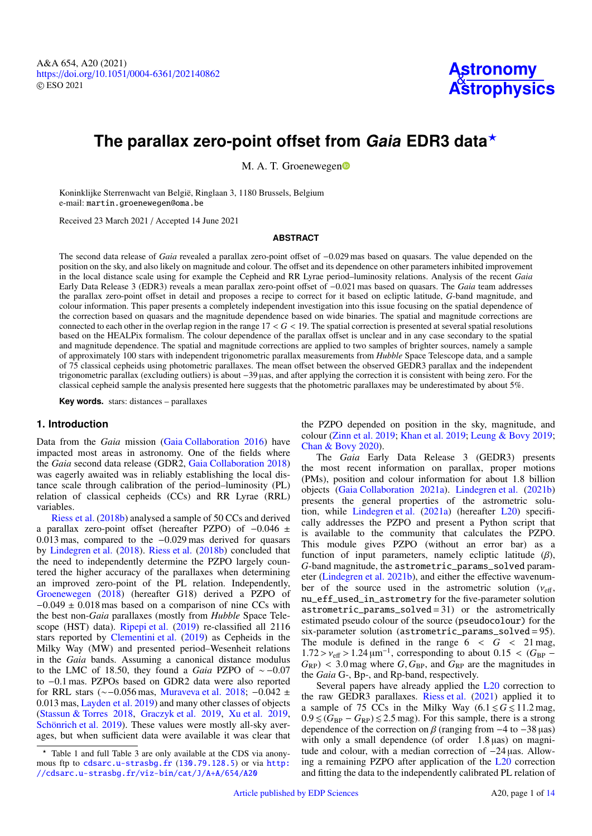A&A 654, A20 (2021) https://doi.org/10.1051/0004-6361/[202140862](https://doi.org/10.1051/0004-6361/202140862) c ESO 2021



# **The parallax zero-point offset from Gaia EDR3 data**?

M. A. T. Groe[n](http://orcid.org/0000-0003-2723-6075)ewegen

Koninklijke Sterrenwacht van België, Ringlaan 3, 1180 Brussels, Belgium e-mail: [martin.groenewegen@oma.be](mailto:martin.groenewegen@oma.be)

Received 23 March 2021 / Accepted 14 June 2021

## **ABSTRACT**

The second data release of *Gaia* revealed a parallax zero-point offset of −0.029 mas based on quasars. The value depended on the position on the sky, and also likely on magnitude and colour. The offset and its dependence on other parameters inhibited improvement in the local distance scale using for example the Cepheid and RR Lyrae period–luminosity relations. Analysis of the recent *Gaia* Early Data Release 3 (EDR3) reveals a mean parallax zero-point offset of <sup>−</sup>0.021 mas based on quasars. The *Gaia* team addresses the parallax zero-point offset in detail and proposes a recipe to correct for it based on ecliptic latitude, *G*-band magnitude, and colour information. This paper presents a completely independent investigation into this issue focusing on the spatial dependence of the correction based on quasars and the magnitude dependence based on wide binaries. The spatial and magnitude corrections are connected to each other in the overlap region in the range  $17 < G < 19$ . The spatial correction is presented at several spatial resolutions based on the HEALPix formalism. The colour dependence of the parallax offset is unclear and in any case secondary to the spatial and magnitude dependence. The spatial and magnitude corrections are applied to two samples of brighter sources, namely a sample of approximately 100 stars with independent trigonometric parallax measurements from *Hubble* Space Telescope data, and a sample of 75 classical cepheids using photometric parallaxes. The mean offset between the observed GEDR3 parallax and the independent trigonometric parallax (excluding outliers) is about −39 µas, and after applying the correction it is consistent with being zero. For the classical cepheid sample the analysis presented here suggests that the photometric parallaxes may be underestimated by about 5%.

**Key words.** stars: distances – parallaxes

## **1. Introduction**

Data from the *Gaia* mission [\(Gaia Collaboration](#page-12-0) [2016\)](#page-12-0) have impacted most areas in astronomy. One of the fields where the *Gaia* second data release (GDR2, [Gaia Collaboration](#page-12-1) [2018\)](#page-12-1) was eagerly awaited was in reliably establishing the local distance scale through calibration of the period–luminosity (PL) relation of classical cepheids (CCs) and RR Lyrae (RRL) variables.

[Riess et al.](#page-12-2) [\(2018b\)](#page-12-2) analysed a sample of 50 CCs and derived a parallax zero-point offset (hereafter PZPO) of <sup>−</sup>0.<sup>046</sup> <sup>±</sup> <sup>0</sup>.013 mas, compared to the <sup>−</sup>0.029 mas derived for quasars by [Lindegren et al.](#page-12-3) [\(2018\)](#page-12-3). [Riess et al.](#page-12-2) [\(2018b\)](#page-12-2) concluded that the need to independently determine the PZPO largely countered the higher accuracy of the parallaxes when determining an improved zero-point of the PL relation. Independently, [Groenewegen](#page-12-4) [\(2018\)](#page-12-4) (hereafter G18) derived a PZPO of  $-0.049 \pm 0.018$  mas based on a comparison of nine CCs with the best non-*Gaia* parallaxes (mostly from *Hubble* Space Telescope (HST) data). [Ripepi et al.](#page-12-5) [\(2019\)](#page-12-5) re-classified all 2116 stars reported by [Clementini et al.](#page-12-6) [\(2019\)](#page-12-6) as Cepheids in the Milky Way (MW) and presented period–Wesenheit relations in the *Gaia* bands. Assuming a canonical distance modulus to the LMC of 18.50, they found a *Gaia* PZPO of ∼ −0.<sup>07</sup> to <sup>−</sup>0.1 mas. PZPOs based on GDR2 data were also reported for RRL stars (∼−0.056 mas, [Muraveva et al.](#page-12-7) [2018;](#page-12-7) <sup>−</sup>0.<sup>042</sup> <sup>±</sup> <sup>0</sup>.013 mas, [Layden et al.](#page-12-8) [2019\)](#page-12-8) and many other classes of objects [\(Stassun & Torres](#page-12-9) [2018,](#page-12-9) [Graczyk et al.](#page-12-10) [2019,](#page-12-10) [Xu et al.](#page-12-11) [2019,](#page-12-11) [Schönrich et al.](#page-12-12) [2019\)](#page-12-12). These values were mostly all-sky averages, but when sufficient data were available it was clear that the PZPO depended on position in the sky, magnitude, and colour [\(Zinn et al.](#page-12-13) [2019;](#page-12-13) [Khan et al.](#page-12-14) [2019;](#page-12-14) [Leung & Bovy](#page-12-15) [2019;](#page-12-15) [Chan & Bovy](#page-12-16) [2020\)](#page-12-16).

The *Gaia* Early Data Release 3 (GEDR3) presents the most recent information on parallax, proper motions (PMs), position and colour information for about 1.8 billion objects [\(Gaia Collaboration](#page-12-17) [2021a\)](#page-12-17). [Lindegren et al.](#page-12-18) [\(2021b\)](#page-12-18) presents the general properties of the astrometric solution, while [Lindegren et al.](#page-12-19) [\(2021a\)](#page-12-19) (hereafter [L20\)](#page-12-19) specifically addresses the PZPO and present a Python script that is available to the community that calculates the PZPO. This module gives PZPO (without an error bar) as a function of input parameters, namely ecliptic latitude  $(\beta)$ , *G*-band magnitude, the astrometric\_params\_solved parameter [\(Lindegren et al.](#page-12-18) [2021b\)](#page-12-18), and either the effective wavenumber of the source used in the astrometric solution ( $v_{\text{eff}}$ , nu\_eff\_used\_in\_astrometry for the five-parameter solution  $astrometric\_params\_solved = 31$  or the astrometrically estimated pseudo colour of the source (pseudocolour) for the six-parameter solution (astrometric\_params\_solved = 95). The module is defined in the range  $6 < G < 21$  mag,  $1.72 > v_{\text{eff}} > 1.24 \,\mu\text{m}^{-1}$ , corresponding to about  $0.15 < (G_{\text{BP}} - G_{\text{F}}) < 3.0 \,\text{mag}$  where G G<sub>PP</sub> and G<sub>PP</sub> are the magnitudes in  $G_{RP}$ ) < 3.0 mag where  $G, G_{BP}$ , and  $G_{RP}$  are the magnitudes in the *Gaia* G-, Bp-, and Rp-band, respectively.

Several papers have already applied the [L20](#page-12-19) correction to the raw GEDR3 parallaxes. [Riess et al.](#page-12-20) [\(2021\)](#page-12-20) applied it to a sample of 75 CCs in the Milky Way  $(6.1 \le G \le 11.2 \text{ mag})$ ,  $0.9 \leq (G_{BP} - G_{RP}) \leq 2.5$  mag). For this sample, there is a strong dependence of the correction on  $\beta$  (ranging from  $-4$  to  $-38 \mu as$ ) with only a small dependence (of order 1.8 µas) on magnitude and colour, with a median correction of −24 µas. Allowing a remaining PZPO after application of the [L20](#page-12-19) correction and fitting the data to the independently calibrated PL relation of

<sup>?</sup> Table 1 and full Table 3 are only available at the CDS via anonymous ftp to [cdsarc.u-strasbg.fr](http://cdsarc.u-strasbg.fr) ([130.79.128.5](ftp://130.79.128.5)) or via [http:](http://cdsarc.u-strasbg.fr/viz-bin/cat/J/A+A/654/A20) [//cdsarc.u-strasbg.fr/viz-bin/cat/J/A+A/654/A20](http://cdsarc.u-strasbg.fr/viz-bin/cat/J/A+A/654/A20)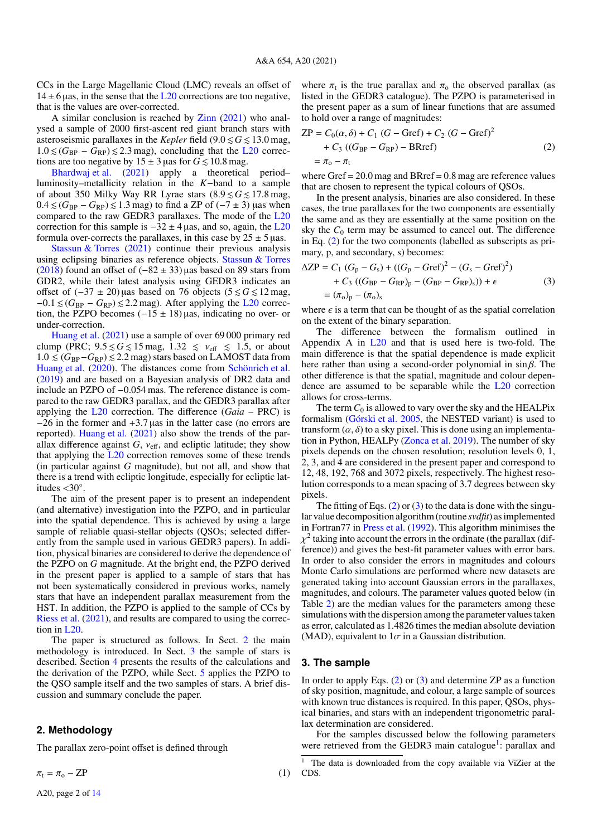CCs in the Large Magellanic Cloud (LMC) reveals an offset of  $14 \pm 6$  µas, in the sense that the [L20](#page-12-19) corrections are too negative, that is the values are over-corrected.

A similar conclusion is reached by [Zinn](#page-12-21) [\(2021\)](#page-12-21) who analysed a sample of 2000 first-ascent red giant branch stars with asteroseismic parallaxes in the *Kepler* field  $(9.0 \le G \le 13.0$  mag,  $1.0 \leq (G_{BP} - G_{RP}) \leq 2.3$  mag), concluding that the [L20](#page-12-19) corrections are too negative by  $15 \pm 3$  µas for  $G \le 10.8$  mag.

[Bhardwaj et al.](#page-12-22) [\(2021\)](#page-12-22) apply a theoretical period– luminosity–metallicity relation in the *K*−band to a sample of about 350 Milky Way RR Lyrae stars  $(8.9 \le G \le 17.8 \text{ mag})$  $0.4 \leq (G_{BP} - G_{RP}) \leq 1.3$  mag) to find a ZP of (−7 ± 3) µas when compared to the raw GEDR3 parallaxes. The mode of the [L20](#page-12-19) correction for this sample is  $-32 \pm 4$  µas, and so, again, the [L20](#page-12-19) formula over-corrects the parallaxes, in this case by  $25 \pm 5$  µas.

[Stassun & Torres](#page-12-23) [\(2021\)](#page-12-23) continue their previous analysis using eclipsing binaries as reference objects. [Stassun & Torres](#page-12-9) [\(2018\)](#page-12-9) found an offset of  $(-82 \pm 33)$  uas based on 89 stars from GDR2, while their latest analysis using GEDR3 indicates an offset of  $(-37 \pm 20)$  µas based on 76 objects  $(5 \le G \le 12 \text{ mag})$ ,  $-0.1 \leq (G_{BP} - G_{RP}) \leq 2.2$  mag). After applying the [L20](#page-12-19) correction, the PZPO becomes  $(-15 \pm 18)$  µas, indicating no over- or under-correction.

[Huang et al.](#page-12-24) [\(2021\)](#page-12-24) use a sample of over 69 000 primary red clump (PRC;  $9.5 \le G \le 15$  mag,  $1.32 \le v_{\text{eff}} \le 1.5$ , or about  $1.0 \leq (G_{BP} - G_{RP}) \leq 2.2$  mag) stars based on LAMOST data from [Huang et al.](#page-12-25) [\(2020\)](#page-12-25). The distances come from [Schönrich et al.](#page-12-12) [\(2019\)](#page-12-12) and are based on a Bayesian analysis of DR2 data and include an PZPO of <sup>−</sup>0.054 mas. The reference distance is compared to the raw GEDR3 parallax, and the GEDR3 parallax after applying the [L20](#page-12-19) correction. The difference (*Gaia* – PRC) is <sup>−</sup>26 in the former and <sup>+</sup>3.<sup>7</sup> <sup>µ</sup>as in the latter case (no errors are reported). [Huang et al.](#page-12-24) [\(2021\)](#page-12-24) also show the trends of the parallax difference against  $G$ ,  $v_{\text{eff}}$ , and ecliptic latitude; they show that applying the [L20](#page-12-19) correction removes some of these trends (in particular against *G* magnitude), but not all, and show that there is a trend with ecliptic longitude, especially for ecliptic latitudes  $<30^\circ$ .<br>The aim

The aim of the present paper is to present an independent (and alternative) investigation into the PZPO, and in particular into the spatial dependence. This is achieved by using a large sample of reliable quasi-stellar objects (QSOs; selected differently from the sample used in various GEDR3 papers). In addition, physical binaries are considered to derive the dependence of the PZPO on *G* magnitude. At the bright end, the PZPO derived in the present paper is applied to a sample of stars that has not been systematically considered in previous works, namely stars that have an independent parallax measurement from the HST. In addition, the PZPO is applied to the sample of CCs by [Riess et al.](#page-12-20) [\(2021\)](#page-12-20), and results are compared to using the correction in [L20.](#page-12-19)

The paper is structured as follows. In Sect. [2](#page-1-0) the main methodology is introduced. In Sect. [3](#page-1-1) the sample of stars is described. Section [4](#page-3-0) presents the results of the calculations and the derivation of the PZPO, while Sect. [5](#page-7-0) applies the PZPO to the QSO sample itself and the two samples of stars. A brief discussion and summary conclude the paper.

#### <span id="page-1-0"></span>**2. Methodology**

The parallax zero-point offset is defined through

 $\pi_{\mathrm{t}} = \pi_{\mathrm{o}} - \mathrm{ZP}$ 

where  $\pi_t$  is the true parallax and  $\pi_o$  the observed parallax (as listed in the GEDR3 catalogue). The PZPO is parameterised in listed in the GEDR3 catalogue). The PZPO is parameterised in the present paper as a sum of linear functions that are assumed to hold over a range of magnitudes:

<span id="page-1-2"></span>
$$
ZP = C_0(\alpha, \delta) + C_1 (G - Gref) + C_2 (G - Gref)^2
$$
  
+ C<sub>3</sub> ((G<sub>BP</sub> - G<sub>RP</sub>) - BRref) (2)  
=  $\pi_0 - \pi_t$   
where Gref = 20.0 mag and BRref = 0.8 mag are reference values

that are chosen to represent the typical colours of QSOs.

In the present analysis, binaries are also considered. In these cases, the true parallaxes for the two components are essentially the same and as they are essentially at the same position on the sky the  $C_0$  term may be assumed to cancel out. The difference in Eq. [\(2\)](#page-1-2) for the two components (labelled as subscripts as primary, p, and secondary, s) becomes:

<span id="page-1-3"></span>
$$
\Delta ZP = C_1 (G_p - G_s) + ((G_p - Gref)^2 - (G_s - Gref)^2) + C_3 ((G_{BP} - G_{RP})_p - (G_{BP} - G_{RP})_s)) + \epsilon
$$
(3)  
=  $(\pi_o)_p - (\pi_o)_s$ 

where  $\epsilon$  is a term that can be thought of as the spatial correlation<br>on the extent of the binary separation on the extent of the binary separation.

The difference between the formalism outlined in Appendix A in [L20](#page-12-19) and that is used here is two-fold. The main difference is that the spatial dependence is made explicit here rather than using a second-order polynomial in  $\sin \beta$ . The other difference is that the spatial, magnitude and colour dependence are assumed to be separable while the [L20](#page-12-19) correction allows for cross-terms.

The term  $C_0$  is allowed to vary over the sky and the HEALPix formalism [\(Górski et al.](#page-12-26) [2005,](#page-12-26) the NESTED variant) is used to transform  $(\alpha, \delta)$  to a sky pixel. This is done using an implementation in Python, HEALPy [\(Zonca et al.](#page-12-27) [2019\)](#page-12-27). The number of sky pixels depends on the chosen resolution; resolution levels 0, 1, 2, 3, and 4 are considered in the present paper and correspond to 12, 48, 192, 768 and 3072 pixels, respectively. The highest resolution corresponds to a mean spacing of 3.7 degrees between sky pixels.

The fitting of Eqs.  $(2)$  or  $(3)$  to the data is done with the singular value decomposition algorithm (routine *svdfit*) as implemented in Fortran77 in [Press et al.](#page-12-28) [\(1992\)](#page-12-28). This algorithm minimises the ference)) and gives the best-fit parameter values with error bars. 2 taking into account the errors in the ordinate (the parallax (dif-In order to also consider the errors in magnitudes and colours Monte Carlo simulations are performed where new datasets are generated taking into account Gaussian errors in the parallaxes, magnitudes, and colours. The parameter values quoted below (in Table [2\)](#page-4-0) are the median values for the parameters among these simulations with the dispersion among the parameter values taken as error, calculated as 1.4826 times the median absolute deviation (MAD), equivalent to  $1\sigma$  in a Gaussian distribution.

## <span id="page-1-1"></span>**3. The sample**

In order to apply Eqs. [\(2\)](#page-1-2) or [\(3\)](#page-1-3) and determine ZP as a function of sky position, magnitude, and colour, a large sample of sources with known true distances is required. In this paper, QSOs, physical binaries, and stars with an independent trigonometric parallax determination are considered.

<span id="page-1-4"></span>For the samples discussed below the following parameters were retrieved from the GEDR3 main catalogue<sup>[1](#page-1-4)</sup>: parallax and

<span id="page-1-5"></span><sup>1</sup> The data is downloaded from the copy available via ViZier at the  $(1)$  CDS.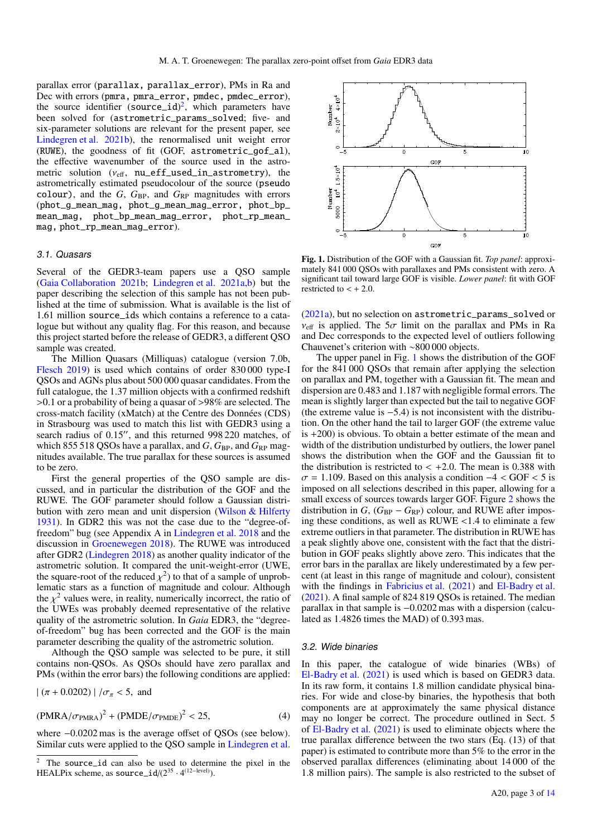parallax error (parallax, parallax\_error), PMs in Ra and Dec with errors (pmra, pmra\_error, pmdec, pmdec\_error), the source identifier  $(source_id)^2$  $(source_id)^2$ , which parameters have been solved for (astrometric\_params\_solved; five- and six-parameter solutions are relevant for the present paper, see [Lindegren et al.](#page-12-18) [2021b\)](#page-12-18), the renormalised unit weight error (RUWE), the goodness of fit (GOF, astrometric\_gof\_al), the effective wavenumber of the source used in the astrometric solution  $(v_{\text{eff}}$ , nu\_eff\_used\_in\_astrometry), the astrometrically estimated pseudocolour of the source (pseudo colour), and the  $G$ ,  $G_{BP}$ , and  $G_{RP}$  magnitudes with errors (phot\_g\_mean\_mag, phot\_g\_mean\_mag\_error, phot\_bp\_ mean\_mag, phot\_bp\_mean\_mag\_error, phot\_rp\_mean\_ mag, phot\_rp\_mean\_mag\_error).

# 3.1. Quasars

Several of the GEDR3-team papers use a QSO sample [\(Gaia Collaboration](#page-12-29) [2021b;](#page-12-29) [Lindegren et al.](#page-12-19) [2021a](#page-12-19)[,b\)](#page-12-18) but the paper describing the selection of this sample has not been published at the time of submission. What is available is the list of 1.61 million source\_ids which contains a reference to a catalogue but without any quality flag. For this reason, and because this project started before the release of GEDR3, a different QSO sample was created.

The Million Quasars (Milliquas) catalogue (version 7.0b, [Flesch](#page-12-30) [2019\)](#page-12-30) is used which contains of order 830 000 type-I QSOs and AGNs plus about 500 000 quasar candidates. From the full catalogue, the 1.37 million objects with a confirmed redshift >0.1 or a probability of being a quasar of >98% are selected. The cross-match facility (xMatch) at the Centre des Données (CDS) in Strasbourg was used to match this list with GEDR3 using a search radius of 0.15", and this returned 998 220 matches, of which 855 518 QSOs have a parallax, and  $G$ ,  $G_{BP}$ , and  $G_{RP}$  magnitudes available. The true parallax for these sources is assumed to be zero.

First the general properties of the QSO sample are discussed, and in particular the distribution of the GOF and the RUWE. The GOF parameter should follow a Gaussian distribution with zero mean and unit dispersion [\(Wilson & Hilferty](#page-12-31) [1931\)](#page-12-31). In GDR2 this was not the case due to the "degree-offreedom" bug (see Appendix A in [Lindegren et al.](#page-12-3) [2018](#page-12-3) and the discussion in [Groenewegen](#page-12-4) [2018\)](#page-12-4). The RUWE was introduced after GDR2 [\(Lindegren](#page-12-32) [2018\)](#page-12-32) as another quality indicator of the astrometric solution. It compared the unit-weight-error (UWE, the square-root of the reduced  $\chi^2$ ) to that of a sample of unprob-<br>lematic stars as a function of magnitude and colour. Although lematic stars as a function of magnitude and colour. Although the  $\chi^2$  values were, in reality, numerically incorrect, the ratio of the UWEs was probably deemed representative of the relative the UWEs was probably deemed representative of the relative quality of the astrometric solution. In *Gaia* EDR3, the "degreeof-freedom" bug has been corrected and the GOF is the main parameter describing the quality of the astrometric solution.

Although the QSO sample was selected to be pure, it still contains non-QSOs. As QSOs should have zero parallax and PMs (within the error bars) the following conditions are applied:

$$
|\ (\pi + 0.0202)| / \sigma_{\pi} < 5
$$
, and

$$
(\text{PMRA}/\sigma_{\text{PMRA}})^2 + (\text{PMDE}/\sigma_{\text{PMDE}})^2 < 25,\tag{4}
$$

where <sup>−</sup>0.0202 mas is the average offset of QSOs (see below). Similar cuts were applied to the QSO sample in [Lindegren et al.](#page-12-19)



<span id="page-2-1"></span>Fig. 1. Distribution of the GOF with a Gaussian fit. *Top panel*: approximately 841 000 QSOs with parallaxes and PMs consistent with zero. A significant tail toward large GOF is visible. *Lower panel*: fit with GOF restricted to  $\lt + 2.0$ .

[\(2021a\)](#page-12-19), but no selection on astrometric\_params\_solved or  $v_{\text{eff}}$  is applied. The  $5\sigma$  limit on the parallax and PMs in Ra and Dec corresponds to the expected level of outliers following Chauvenet's criterion with ∼800 000 objects.

The upper panel in Fig. [1](#page-2-1) shows the distribution of the GOF for the 841 000 QSOs that remain after applying the selection on parallax and PM, together with a Gaussian fit. The mean and dispersion are 0.483 and 1.187 with negligible formal errors. The mean is slightly larger than expected but the tail to negative GOF (the extreme value is <sup>−</sup>5.4) is not inconsistent with the distribution. On the other hand the tail to larger GOF (the extreme value is +200) is obvious. To obtain a better estimate of the mean and width of the distribution undisturbed by outliers, the lower panel shows the distribution when the GOF and the Gaussian fit to the distribution is restricted to  $\lt$  +2.0. The mean is 0.388 with  $\sigma$  = 1.109. Based on this analysis a condition  $-4 <$  GOF  $<$  5 is imposed on all selections described in this paper, allowing for a small excess of sources towards larger GOF. Figure [2](#page-3-1) shows the distribution in  $G$ ,  $(G_{BP} - G_{RP})$  colour, and RUWE after imposing these conditions, as well as  $RUWE < 1.4$  to eliminate a few extreme outliers in that parameter. The distribution in RUWE has a peak slightly above one, consistent with the fact that the distribution in GOF peaks slightly above zero. This indicates that the error bars in the parallax are likely underestimated by a few percent (at least in this range of magnitude and colour), consistent with the findings in [Fabricius et al.](#page-12-33) [\(2021\)](#page-12-33) and [El-Badry et al.](#page-12-34) [\(2021\)](#page-12-34). A final sample of 824 819 QSOs is retained. The median parallax in that sample is <sup>−</sup>0.0202 mas with a dispersion (calculated as 1.4826 times the MAD) of 0.393 mas.

#### 3.2. Wide binaries

In this paper, the catalogue of wide binaries (WBs) of [El-Badry et al.](#page-12-34) [\(2021\)](#page-12-34) is used which is based on GEDR3 data. In its raw form, it contains 1.8 million candidate physical binaries. For wide and close-by binaries, the hypothesis that both components are at approximately the same physical distance may no longer be correct. The procedure outlined in Sect. 5 of [El-Badry et al.](#page-12-34) [\(2021\)](#page-12-34) is used to eliminate objects where the true parallax difference between the two stars (Eq. (13) of that paper) is estimated to contribute more than 5% to the error in the observed parallax differences (eliminating about 14 000 of the 1.8 million pairs). The sample is also restricted to the subset of

<span id="page-2-0"></span>The source\_id can also be used to determine the pixel in the HEALPix scheme, as  $source\_id/(2^{35} \cdot 4^{(12-level)})$ .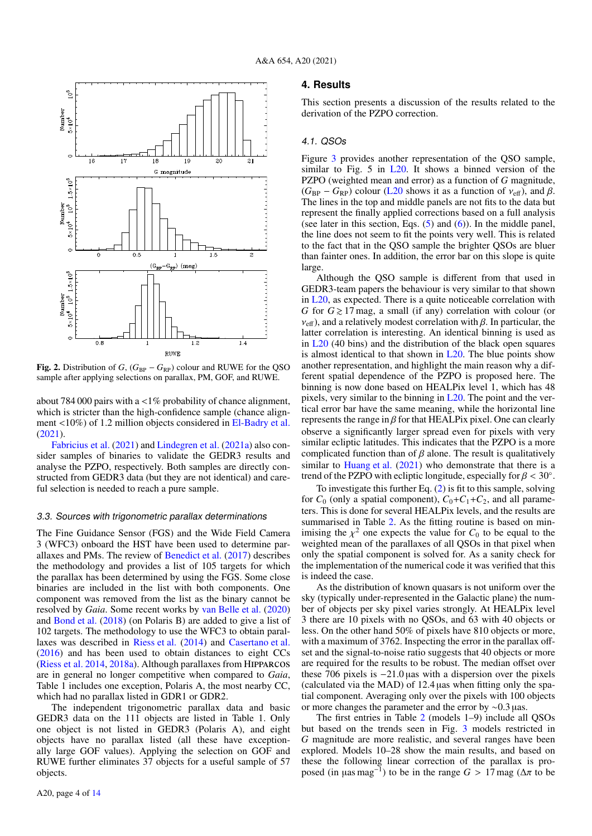

<span id="page-3-1"></span>**Fig. 2.** Distribution of *G*,  $(G_{BP} - G_{RP})$  colour and RUWE for the QSO sample after applying selections on parallax, PM, GOF, and RUWE.

about 784 000 pairs with a  $\langle 1\%$  probability of chance alignment. which is stricter than the high-confidence sample (chance alignment <10%) of 1.2 million objects considered in [El-Badry et al.](#page-12-34) [\(2021\)](#page-12-34).

[Fabricius et al.](#page-12-33) [\(2021\)](#page-12-33) and [Lindegren et al.](#page-12-19) [\(2021a\)](#page-12-19) also consider samples of binaries to validate the GEDR3 results and analyse the PZPO, respectively. Both samples are directly constructed from GEDR3 data (but they are not identical) and careful selection is needed to reach a pure sample.

#### <span id="page-3-2"></span>3.3. Sources with trigonometric parallax determinations

The Fine Guidance Sensor (FGS) and the Wide Field Camera 3 (WFC3) onboard the HST have been used to determine parallaxes and PMs. The review of [Benedict et al.](#page-12-35) [\(2017\)](#page-12-35) describes the methodology and provides a list of 105 targets for which the parallax has been determined by using the FGS. Some close binaries are included in the list with both components. One component was removed from the list as the binary cannot be resolved by *Gaia*. Some recent works by [van Belle et al.](#page-12-36) [\(2020\)](#page-12-36) and [Bond et al.](#page-12-37) [\(2018\)](#page-12-37) (on Polaris B) are added to give a list of 102 targets. The methodology to use the WFC3 to obtain parallaxes was described in [Riess et al.](#page-12-38) [\(2014\)](#page-12-38) and [Casertano et al.](#page-12-39) [\(2016\)](#page-12-39) and has been used to obtain distances to eight CCs [\(Riess et al.](#page-12-38) [2014,](#page-12-38) [2018a\)](#page-12-40). Although parallaxes from Hipparcos are in general no longer competitive when compared to *Gaia*, Table 1 includes one exception, Polaris A, the most nearby CC, which had no parallax listed in GDR1 or GDR2.

The independent trigonometric parallax data and basic GEDR3 data on the 111 objects are listed in Table 1. Only one object is not listed in GEDR3 (Polaris A), and eight objects have no parallax listed (all these have exceptionally large GOF values). Applying the selection on GOF and RUWE further eliminates 37 objects for a useful sample of 57 objects.

## <span id="page-3-0"></span>**4. Results**

This section presents a discussion of the results related to the derivation of the PZPO correction.

#### 4.1. QSOs

Figure [3](#page-5-0) provides another representation of the QSO sample, similar to Fig. 5 in  $L20$ . It shows a binned version of the PZPO (weighted mean and error) as a function of *G* magnitude,  $(G_{BP} - G_{RP})$  colour [\(L20](#page-12-19) shows it as a function of  $v_{\text{eff}}$ ), and  $\beta$ . The lines in the top and middle panels are not fits to the data but represent the finally applied corrections based on a full analysis (see later in this section, Eqs. [\(5\)](#page-4-1) and [\(6\)](#page-4-2)). In the middle panel, the line does not seem to fit the points very well. This is related to the fact that in the QSO sample the brighter QSOs are bluer than fainter ones. In addition, the error bar on this slope is quite large.

Although the QSO sample is different from that used in GEDR3-team papers the behaviour is very similar to that shown in [L20,](#page-12-19) as expected. There is a quite noticeable correlation with *G* for  $G \ge 17$  mag, a small (if any) correlation with colour (or  $v_{\text{eff}}$ ), and a relatively modest correlation with  $\beta$ . In particular, the latter correlation is interesting. An identical binning is used as in [L20](#page-12-19) (40 bins) and the distribution of the black open squares is almost identical to that shown in  $L20$ . The blue points show another representation, and highlight the main reason why a different spatial dependence of the PZPO is proposed here. The binning is now done based on HEALPix level 1, which has 48 pixels, very similar to the binning in  $L20$ . The point and the vertical error bar have the same meaning, while the horizontal line represents the range in  $\beta$  for that HEALPix pixel. One can clearly observe a significantly larger spread even for pixels with very similar ecliptic latitudes. This indicates that the PZPO is a more complicated function than of  $\beta$  alone. The result is qualitatively similar to [Huang et al.](#page-12-24) [\(2021\)](#page-12-24) who demonstrate that there is a trend of the PZPO with ecliptic longitude, especially for  $\beta < 30^\circ$ .<br>To investigate this further Eq. (2) is fit to this sample, solving

To investigate this further Eq. [\(2\)](#page-1-2) is fit to this sample, solving for  $C_0$  (only a spatial component),  $C_0 + C_1 + C_2$ , and all parameters. This is done for several HEALPix levels, and the results are summarised in Table [2.](#page-4-0) As the fitting routine is based on minimising the  $\chi^2$  one expects the value for  $C_0$  to be equal to the weighted mean of the parallaxes of all OSOs in that pixel when weighted mean of the parallaxes of all QSOs in that pixel when only the spatial component is solved for. As a sanity check for the implementation of the numerical code it was verified that this is indeed the case.

As the distribution of known quasars is not uniform over the sky (typically under-represented in the Galactic plane) the number of objects per sky pixel varies strongly. At HEALPix level 3 there are 10 pixels with no QSOs, and 63 with 40 objects or less. On the other hand 50% of pixels have 810 objects or more, with a maximum of 3762. Inspecting the error in the parallax offset and the signal-to-noise ratio suggests that 40 objects or more are required for the results to be robust. The median offset over these 706 pixels is <sup>−</sup>21.<sup>0</sup> <sup>µ</sup>as with a dispersion over the pixels (calculated via the MAD) of  $12.4 \mu$ as when fitting only the spatial component. Averaging only over the pixels with 100 objects or more changes the parameter and the error by <sup>∼</sup>0.<sup>3</sup> <sup>µ</sup>as.

The first entries in Table [2](#page-4-0) (models 1–9) include all QSOs but based on the trends seen in Fig. [3](#page-5-0) models restricted in *G* magnitude are more realistic, and several ranges have been explored. Models 10–28 show the main results, and based on these the following linear correction of the parallax is proposed (in  $\mu$ as mag<sup>-1</sup>) to be in the range *G* > 17 mag ( $\Delta \pi$  to be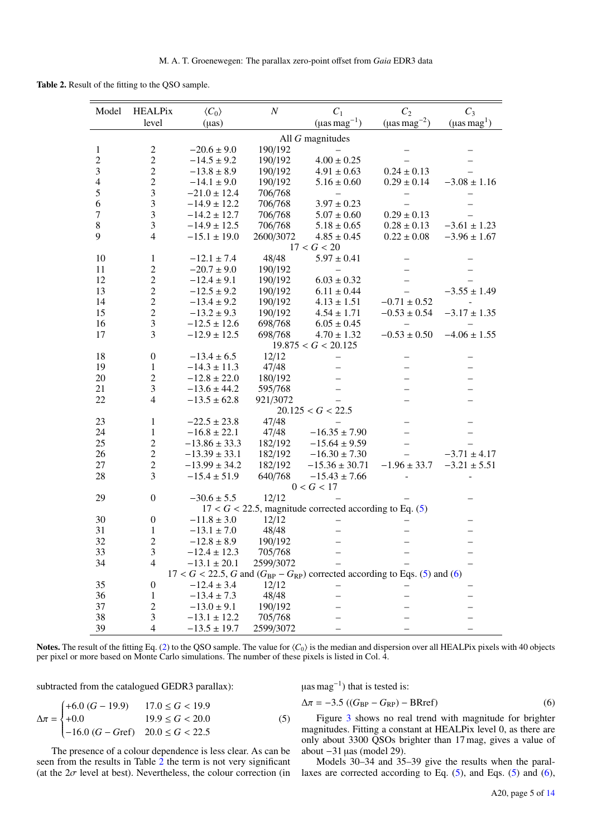Table 2. Result of the fitting to the QSO sample.

<span id="page-4-0"></span>

| Model            | <b>HEALPix</b>          | $\langle C_0 \rangle$ | $\boldsymbol{N}$ | $C_1$                                                                               | $C_2$                          | $C_3$                        |
|------------------|-------------------------|-----------------------|------------------|-------------------------------------------------------------------------------------|--------------------------------|------------------------------|
|                  | level                   | $(\mu as)$            |                  | $(\mu$ as mag <sup>-1</sup> )                                                       | ( $\mu$ as mag <sup>-2</sup> ) | $(\mu$ as mag <sup>1</sup> ) |
|                  |                         |                       |                  | All $G$ magnitudes                                                                  |                                |                              |
| $\mathbf{1}$     | $\overline{c}$          | $-20.6 \pm 9.0$       | 190/192          |                                                                                     |                                |                              |
| $\sqrt{2}$       | $\overline{c}$          | $-14.5 \pm 9.2$       | 190/192          | $4.00 \pm 0.25$                                                                     |                                |                              |
| $\mathfrak{Z}$   | $\overline{2}$          | $-13.8 \pm 8.9$       | 190/192          | $4.91 \pm 0.63$                                                                     | $0.24 \pm 0.13$                |                              |
| $\overline{4}$   | $\overline{c}$          | $-14.1 \pm 9.0$       | 190/192          | $5.16 \pm 0.60$                                                                     | $0.29 \pm 0.14$                | $-3.08 \pm 1.16$             |
| 5                | $\overline{\mathbf{3}}$ | $-21.0 \pm 12.4$      | 706/768          |                                                                                     |                                |                              |
| 6                | 3                       | $-14.9 \pm 12.2$      | 706/768          | $3.97 \pm 0.23$                                                                     |                                |                              |
| $\boldsymbol{7}$ | $\mathfrak{Z}$          | $-14.2 \pm 12.7$      | 706/768          | $5.07 \pm 0.60$                                                                     | $0.29 \pm 0.13$                |                              |
| $\,8\,$          | $\mathfrak{Z}$          | $-14.9 \pm 12.5$      | 706/768          | $5.18 \pm 0.65$                                                                     | $0.28 \pm 0.13$                | $-3.61 \pm 1.23$             |
| 9                | $\overline{4}$          | $-15.1 \pm 19.0$      | 2600/3072        | $4.85 \pm 0.45$                                                                     | $0.22 \pm 0.08$                | $-3.96 \pm 1.67$             |
|                  |                         |                       |                  | 17 < G < 20                                                                         |                                |                              |
| 10               | $\mathbf{1}$            | $-12.1 \pm 7.4$       | 48/48            | $5.97 \pm 0.41$                                                                     |                                |                              |
| 11               | $\overline{c}$          | $-20.7 \pm 9.0$       | 190/192          |                                                                                     |                                |                              |
| 12               | $\overline{2}$          | $-12.4 \pm 9.1$       | 190/192          | $6.03 \pm 0.32$                                                                     |                                |                              |
| 13               | $\overline{2}$          | $-12.5 \pm 9.2$       | 190/192          | $6.11 \pm 0.44$                                                                     |                                | $-3.55 \pm 1.49$             |
| 14               | $\overline{c}$          | $-13.4 \pm 9.2$       | 190/192          | $4.13 \pm 1.51$                                                                     | $-0.71 \pm 0.52$               |                              |
| 15               | $\overline{2}$          | $-13.2 \pm 9.3$       | 190/192          | $4.54 \pm 1.71$                                                                     | $-0.53 \pm 0.54$               | $-3.17 \pm 1.35$             |
| 16               | $\mathfrak{Z}$          | $-12.5 \pm 12.6$      | 698/768          | $6.05 \pm 0.45$                                                                     | $\equiv$                       |                              |
| 17               | 3                       | $-12.9 \pm 12.5$      | 698/768          | $4.70 \pm 1.32$                                                                     | $-0.53 \pm 0.50$               | $-4.06 \pm 1.55$             |
|                  |                         |                       |                  | 19.875 < G < 20.125                                                                 |                                |                              |
| 18               | $\boldsymbol{0}$        | $-13.4 \pm 6.5$       | 12/12            |                                                                                     |                                |                              |
| 19               | $\mathbf{1}$            | $-14.3 \pm 11.3$      | 47/48            |                                                                                     |                                |                              |
| 20               | $\overline{2}$          | $-12.8 \pm 22.0$      | 180/192          |                                                                                     |                                |                              |
| 21               | 3                       | $-13.6 \pm 44.2$      | 595/768          | $\overline{\phantom{0}}$                                                            | $\overline{\phantom{0}}$       |                              |
| 22               | $\overline{4}$          | $-13.5 \pm 62.8$      | 921/3072         |                                                                                     |                                |                              |
|                  |                         |                       |                  | 20.125 < G < 22.5                                                                   |                                |                              |
| 23               | $\mathbf{1}$            | $-22.5 \pm 23.8$      | 47/48            |                                                                                     | $\qquad \qquad -$              |                              |
| 24               | $\mathbf{1}$            | $-16.8 \pm 22.1$      | 47/48            | $-16.35 \pm 7.90$                                                                   |                                |                              |
| 25               | $\overline{2}$          | $-13.86 \pm 33.3$     | 182/192          | $-15.64 \pm 9.59$                                                                   | $\overline{\phantom{0}}$       |                              |
| 26               | $\sqrt{2}$              | $-13.39 \pm 33.1$     | 182/192          | $-16.30 \pm 7.30$                                                                   |                                | $-3.71 \pm 4.17$             |
| 27               | $\overline{c}$          | $-13.99 \pm 34.2$     | 182/192          | $-15.36 \pm 30.71$                                                                  | $-1.96 \pm 33.7$               | $-3.21 \pm 5.51$             |
| 28               | 3                       | $-15.4 \pm 51.9$      | 640/768          | $-15.43 \pm 7.66$                                                                   |                                |                              |
|                  |                         |                       |                  | 0 < G < 17                                                                          |                                |                              |
| 29               | $\overline{0}$          | $-30.6 \pm 5.5$       | 12/12            |                                                                                     |                                |                              |
|                  |                         |                       |                  | $17 < G < 22.5$ , magnitude corrected according to Eq. (5)                          |                                |                              |
| 30               | $\boldsymbol{0}$        | $-11.8 \pm 3.0$       | 12/12            |                                                                                     |                                |                              |
| 31               | $\mathbf{1}$            | $-13.1 \pm 7.0$       | 48/48            |                                                                                     |                                |                              |
| 32               | $\mathfrak{D}$          | $-12.8 \pm 8.9$       | 190/192          |                                                                                     |                                |                              |
| 33               | 3                       | $-12.4 \pm 12.3$      | 705/768          |                                                                                     |                                |                              |
| 34               | 4                       | $-13.1 \pm 20.1$      | 2599/3072        |                                                                                     |                                |                              |
|                  |                         |                       |                  | $17 < G < 22.5$ , G and $(G_{BP} - G_{RP})$ corrected according to Eqs. (5) and (6) |                                |                              |
| 35               | $\boldsymbol{0}$        | $-12.4 \pm 3.4$       | 12/12            |                                                                                     |                                |                              |
| 36               | 1                       | $-13.4 \pm 7.3$       | 48/48            |                                                                                     |                                |                              |
| 37               | $\overline{c}$          | $-13.0 \pm 9.1$       | 190/192          |                                                                                     |                                |                              |
| 38               | 3                       | $-13.1 \pm 12.2$      | 705/768          |                                                                                     |                                |                              |
| 39               | 4                       | $-13.5 \pm 19.7$      | 2599/3072        |                                                                                     |                                |                              |
|                  |                         |                       |                  |                                                                                     |                                |                              |

Notes. The result of the fitting Eq. [\(2\)](#page-1-2) to the QSO sample. The value for  $\langle C_0 \rangle$  is the median and dispersion over all HEALPix pixels with 40 objects per pixel or more based on Monte Carlo simulations. The number of these pixels is listed in Col. 4.

subtracted from the catalogued GEDR3 parallax):

$$
\Delta \pi = \begin{cases}\n+6.0 (G - 19.9) & 17.0 \le G < 19.9 \\
+0.0 & 19.9 \le G < 20.0 \\
-16.0 (G - Gref) & 20.0 \le G < 22.5\n\end{cases} \tag{5}
$$

The presence of a colour dependence is less clear. As can be seen from the results in Table [2](#page-4-0) the term is not very significant (at the  $2\sigma$  level at best). Nevertheless, the colour correction (in <span id="page-4-2"></span><span id="page-4-1"></span> $\mu$ as mag<sup>-1</sup>) that is tested is:

$$
\Delta \pi = -3.5 \left( (G_{\rm BP} - G_{\rm RP}) - \text{BRref} \right) \tag{6}
$$

Figure [3](#page-5-0) shows no real trend with magnitude for brighter magnitudes. Fitting a constant at HEALPix level 0, as there are only about 3300 QSOs brighter than 17 mag, gives a value of about −31 µas (model 29).

Models 30–34 and 35–39 give the results when the parallaxes are corrected according to Eq.  $(5)$ , and Eqs.  $(5)$  and  $(6)$ ,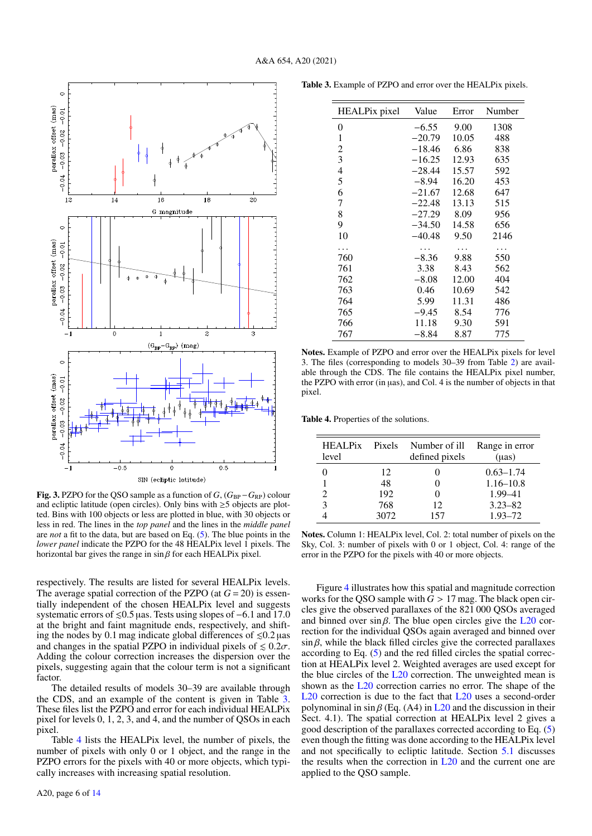

<span id="page-5-0"></span>Fig. 3. PZPO for the QSO sample as a function of  $G$ ,  $(G_{BP} - G_{RP})$  colour and ecliptic latitude (open circles). Only bins with ≥5 objects are plotted. Bins with 100 objects or less are plotted in blue, with 30 objects or less in red. The lines in the *top panel* and the lines in the *middle panel* are *not* a fit to the data, but are based on Eq. [\(5\)](#page-4-1). The blue points in the *lower panel* indicate the PZPO for the 48 HEALPix level 1 pixels. The horizontal bar gives the range in  $\sin \beta$  for each HEALPix pixel.

respectively. The results are listed for several HEALPix levels. The average spatial correction of the PZPO (at  $G = 20$ ) is essentially independent of the chosen HEALPix level and suggests systematic errors of  $\le 0.5$  µas. Tests using slopes of  $-6.1$  and 17.0 at the bright and faint magnitude ends, respectively, and shifting the nodes by 0.1 mag indicate global differences of  $\leq 0.2$  µas and changes in the spatial PZPO in individual pixels of  $\leq 0.2\sigma$ . Adding the colour correction increases the dispersion over the pixels, suggesting again that the colour term is not a significant factor.

The detailed results of models 30–39 are available through the CDS, and an example of the content is given in Table [3.](#page-5-1) These files list the PZPO and error for each individual HEALPix pixel for levels 0, 1, 2, 3, and 4, and the number of QSOs in each pixel.

Table [4](#page-5-2) lists the HEALPix level, the number of pixels, the number of pixels with only 0 or 1 object, and the range in the PZPO errors for the pixels with 40 or more objects, which typically increases with increasing spatial resolution.

<span id="page-5-1"></span>

| HEALPix pixel | Value    | Error | Number |
|---------------|----------|-------|--------|
| 0             | $-6.55$  | 9.00  | 1308   |
| 1             | $-20.79$ | 10.05 | 488    |
| 2             | $-18.46$ | 6.86  | 838    |
| 3             | $-16.25$ | 12.93 | 635    |
| 4             | $-28.44$ | 15.57 | 592    |
| 5             | $-8.94$  | 16.20 | 453    |
| 6             | $-21.67$ | 12.68 | 647    |
| 7             | $-22.48$ | 13.13 | 515    |
| 8             | $-27.29$ | 8.09  | 956    |
| 9             | $-34.50$ | 14.58 | 656    |
| 10            | $-40.48$ | 9.50  | 2146   |
| .             | .        | .     | .      |
| 760           | $-8.36$  | 9.88  | 550    |
| 761           | 3.38     | 8.43  | 562    |
| 762           | $-8.08$  | 12.00 | 404    |
| 763           | 0.46     | 10.69 | 542    |
| 764           | 5.99     | 11.31 | 486    |
| 765           | $-9.45$  | 8.54  | 776    |
| 766           | 11.18    | 9.30  | 591    |
| 767           | $-8.84$  | 8.87  | 775    |

Notes. Example of PZPO and error over the HEALPix pixels for level 3. The files (corresponding to models 30–39 from Table [2\)](#page-4-0) are available through the CDS. The file contains the HEALPix pixel number, the PZPO with error (in µas), and Col. 4 is the number of objects in that pixel.

Table 4. Properties of the solutions.

<span id="page-5-2"></span>

| HEALPix Pixels<br>level |      | Number of ill<br>defined pixels | Range in error<br>$(\mu as)$ |
|-------------------------|------|---------------------------------|------------------------------|
|                         | 12   |                                 | $0.63 - 1.74$                |
|                         | 48   |                                 | $1.16 - 10.8$                |
|                         | 192  |                                 | $1.99 - 41$                  |
| 3                       | 768  | 12                              | $3.23 - 82$                  |
|                         | 3072 | 157                             | $1.93 - 72$                  |

Notes. Column 1: HEALPix level, Col. 2: total number of pixels on the Sky, Col. 3: number of pixels with 0 or 1 object, Col. 4: range of the error in the PZPO for the pixels with 40 or more objects.

Figure [4](#page-6-0) illustrates how this spatial and magnitude correction works for the QSO sample with  $G > 17$  mag. The black open circles give the observed parallaxes of the 821 000 QSOs averaged and binned over  $\sin \beta$ . The blue open circles give the [L20](#page-12-19) correction for the individual QSOs again averaged and binned over  $\sin \beta$ , while the black filled circles give the corrected parallaxes according to Eq. [\(5\)](#page-4-1) and the red filled circles the spatial correction at HEALPix level 2. Weighted averages are used except for the blue circles of the  $L20$  correction. The unweighted mean is shown as the [L20](#page-12-19) correction carries no error. The shape of the [L20](#page-12-19) correction is due to the fact that L20 uses a second-order polynominal in  $\sin \beta$  (Eq. (A4) in [L20](#page-12-19) and the discussion in their Sect. 4.1). The spatial correction at HEALPix level 2 gives a good description of the parallaxes corrected according to Eq. [\(5\)](#page-4-1) even though the fitting was done according to the HEALPix level and not specifically to ecliptic latitude. Section [5.1](#page-7-1) discusses the results when the correction in  $L20$  and the current one are applied to the QSO sample.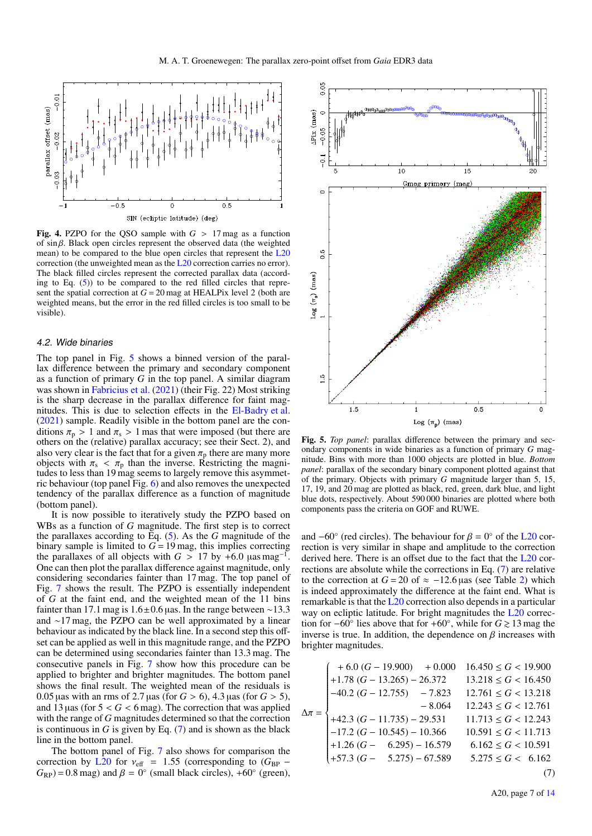

<span id="page-6-0"></span>Fig. 4. PZPO for the QSO sample with  $G > 17$  mag as a function of sin β. Black open circles represent the observed data (the weighted mean) to be compared to the blue open circles that represent the [L20](#page-12-19) correction (the unweighted mean as the [L20](#page-12-19) correction carries no error). The black filled circles represent the corrected parallax data (according to Eq.  $(5)$ ) to be compared to the red filled circles that represent the spatial correction at  $G = 20$  mag at HEALPix level 2 (both are weighted means, but the error in the red filled circles is too small to be visible).

## 4.2. Wide binaries

The top panel in Fig. [5](#page-6-1) shows a binned version of the parallax difference between the primary and secondary component as a function of primary *G* in the top panel. A similar diagram was shown in [Fabricius et al.](#page-12-33) [\(2021\)](#page-12-33) (their Fig. 22) Most striking is the sharp decrease in the parallax difference for faint magnitudes. This is due to selection effects in the [El-Badry et al.](#page-12-34) [\(2021\)](#page-12-34) sample. Readily visible in the bottom panel are the conditions  $\pi_p > 1$  and  $\pi_s > 1$  mas that were imposed (but there are others on the (relative) parallax accuracy; see their Sect. 2), and also very clear is the fact that for a given  $\pi_{p}$  there are many more objects with  $\pi_s < \pi_p$  than the inverse. Restricting the magnitudes to less than 19 mag seems to largely remove this asymmetric behaviour (top panel Fig. [6\)](#page-7-2) and also removes the unexpected tendency of the parallax difference as a function of magnitude (bottom panel).

It is now possible to iteratively study the PZPO based on WBs as a function of *G* magnitude. The first step is to correct the parallaxes according to Eq. [\(5\)](#page-4-1). As the *G* magnitude of the binary sample is limited to  $G = 19$  mag, this implies correcting the parallaxes of all objects with  $G > 17$  by +6.0  $\mu$ as mag<sup>-1</sup> . One can then plot the parallax difference against magnitude, only considering secondaries fainter than 17 mag. The top panel of Fig. [7](#page-7-3) shows the result. The PZPO is essentially independent of *G* at the faint end, and the weighted mean of the 11 bins fainter than 17.1 mag is  $1.6\pm0.6$  µas. In the range between ~13.3 and ∼17 mag, the PZPO can be well approximated by a linear behaviour as indicated by the black line. In a second step this offset can be applied as well in this magnitude range, and the PZPO can be determined using secondaries fainter than 13.3 mag. The consecutive panels in Fig. [7](#page-7-3) show how this procedure can be applied to brighter and brighter magnitudes. The bottom panel shows the final result. The weighted mean of the residuals is 0.05 <sup>µ</sup>as with an rms of 2.7 <sup>µ</sup>as (for *<sup>G</sup>* > 6), 4.3 <sup>µ</sup>as (for *<sup>G</sup>* > 5), and 13 µas (for  $5 < G < 6$  mag). The correction that was applied with the range of *G* magnitudes determined so that the correction is continuous in  $G$  is given by Eq.  $(7)$  and is shown as the black line in the bottom panel.

The bottom panel of Fig. [7](#page-7-3) also shows for comparison the correction by L<sub>20</sub> for  $v_{\text{eff}}$  = 1.55 (corresponding to  $(G_{BP}$  –  $G_{\rm RP}$ ) = 0.8 mag) and  $\beta = 0^{\circ}$  (small black circles), +60° (green),



<span id="page-6-1"></span>Fig. 5. *Top panel*: parallax difference between the primary and secondary components in wide binaries as a function of primary *G* magnitude. Bins with more than 1000 objects are plotted in blue. *Bottom panel*: parallax of the secondary binary component plotted against that of the primary. Objects with primary *G* magnitude larger than 5, 15, 17, 19, and 20 mag are plotted as black, red, green, dark blue, and light blue dots, respectively. About 590 000 binaries are plotted where both components pass the criteria on GOF and RUWE.

and  $-60^\circ$  (red circles). The behaviour for  $\beta = 0^\circ$  of the [L20](#page-12-19) correction is very similar in shape and amplitude to the correction rection is very similar in shape and amplitude to the correction derived here. There is an offset due to the fact that the [L20](#page-12-19) corrections are absolute while the corrections in Eq. [\(7\)](#page-6-2) are relative to the correction at  $G = 20$  of  $\approx -12.6$  µas (see Table [2\)](#page-4-0) which is indeed approximately the difference at the faint end. What is remarkable is that the [L20](#page-12-19) correction also depends in a particular way on ecliptic latitude. For bright magnitudes the [L20](#page-12-19) correction for  $-60^\circ$  lies above that for  $+60^\circ$ , while for *G*  $\geq 13$  mag the inverse is true. In addition, the dependence on  $\beta$  increases with brighter magnitudes.

<span id="page-6-2"></span>
$$
\Delta \pi = \begin{cases}\n+ 6.0 (G - 19.900) + 0.000 & 16.450 \le G < 19.900 \\
+ 1.78 (G - 13.265) - 26.372 & 13.218 \le G < 16.450 \\
- 40.2 (G - 12.755) - 7.823 & 12.761 \le G < 13.218 \\
- 8.064 & 12.243 \le G < 12.761 \\
+ 42.3 (G - 11.735) - 29.531 & 11.713 \le G < 12.243 \\
- 17.2 (G - 10.545) - 10.366 & 10.591 \le G < 11.713 \\
+ 1.26 (G - 6.295) - 16.579 & 6.162 \le G < 10.591 \\
+ 57.3 (G - 5.275) - 67.589 & 5.275 \le G < 6.162\n\end{cases}
$$
\n(7)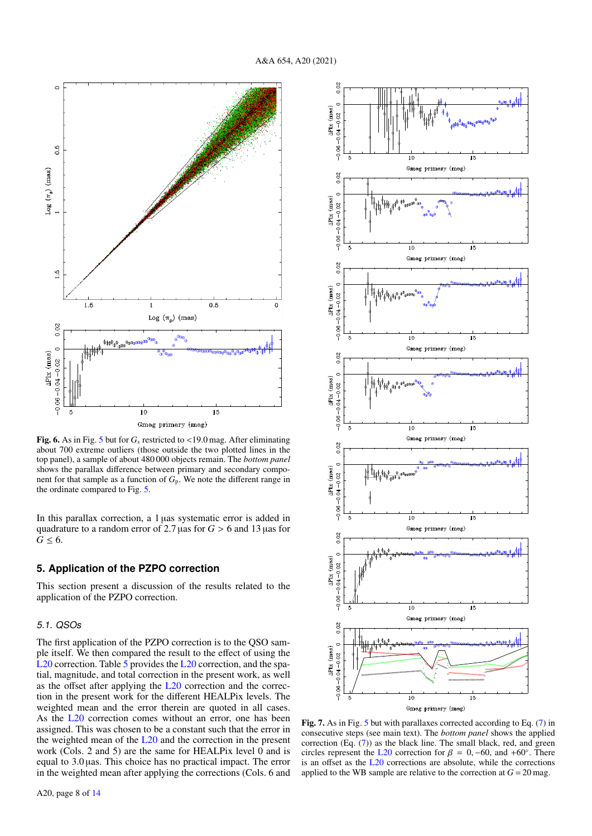

<span id="page-7-2"></span>Fig. 6. As in Fig. [5](#page-6-1) but for  $G_s$  restricted to <19.0 mag. After eliminating about 700 extreme outliers (those outside the two plotted lines in the top panel), a sample of about 480 000 objects remain. The *bottom panel* shows the parallax difference between primary and secondary component for that sample as a function of *G*p. We note the different range in the ordinate compared to Fig. [5.](#page-6-1)

In this parallax correction, a 1 µas systematic error is added in quadrature to a random error of 2.7 <sup>µ</sup>as for *<sup>G</sup>* > 6 and 13 <sup>µ</sup>as for  $G \leq 6$ .

# <span id="page-7-0"></span>**5. Application of the PZPO correction**

This section present a discussion of the results related to the application of the PZPO correction.

# <span id="page-7-1"></span>5.1. QSOs

The first application of the PZPO correction is to the QSO sample itself. We then compared the result to the effect of using the [L20](#page-12-19) correction. Table [5](#page-8-0) provides the L20 correction, and the spatial, magnitude, and total correction in the present work, as well as the offset after applying the [L20](#page-12-19) correction and the correction in the present work for the different HEALPix levels. The weighted mean and the error therein are quoted in all cases. As the [L20](#page-12-19) correction comes without an error, one has been assigned. This was chosen to be a constant such that the error in the weighted mean of the [L20](#page-12-19) and the correction in the present work (Cols. 2 and 5) are the same for HEALPix level 0 and is equal to 3.0 µas. This choice has no practical impact. The error in the weighted mean after applying the corrections (Cols. 6 and



<span id="page-7-3"></span>Fig. 7. As in Fig. [5](#page-6-1) but with parallaxes corrected according to Eq. [\(7\)](#page-6-2) in consecutive steps (see main text). The *bottom panel* shows the applied correction (Eq. [\(7\)](#page-6-2)) as the black line. The small black, red, and green circles represent the [L20](#page-12-19) correction for  $\beta = 0, -60$ , and +60°. There<br>is an offset as the L20 corrections are absolute, while the corrections is an offset as the [L20](#page-12-19) corrections are absolute, while the corrections applied to the WB sample are relative to the correction at  $G = 20$  mag.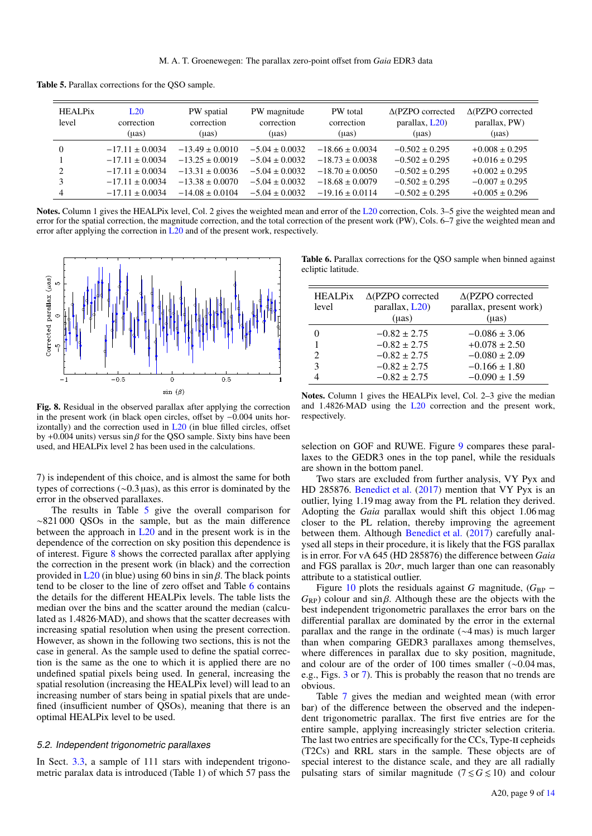Table 5. Parallax corrections for the QSO sample.

<span id="page-8-0"></span>

| <b>HEALPix</b><br>level | L20<br>correction<br>(uas) | PW spatial<br>correction<br>(µas) | PW magnitude<br>correction<br>$(\mu as)$ | PW total<br>correction<br>$(\mu as)$ | $\triangle$ (PZPO corrected<br>parallax, L20)<br>$(\mu as)$ | $\triangle$ (PZPO corrected<br>parallax, PW)<br>$(\mu as)$ |
|-------------------------|----------------------------|-----------------------------------|------------------------------------------|--------------------------------------|-------------------------------------------------------------|------------------------------------------------------------|
| $\Omega$                | $-17.11 \pm 0.0034$        | $-13.49 \pm 0.0010$               | $-5.04 \pm 0.0032$                       | $-18.66 \pm 0.0034$                  | $-0.502 \pm 0.295$                                          | $+0.008 \pm 0.295$                                         |
|                         | $-17.11 + 0.0034$          | $-13.25 \pm 0.0019$               | $-5.04 \pm 0.0032$                       | $-18.73 \pm 0.0038$                  | $-0.502 \pm 0.295$                                          | $+0.016 \pm 0.295$                                         |
| $\mathfrak{D}$          | $-17.11 \pm 0.0034$        | $-13.31 \pm 0.0036$               | $-5.04 \pm 0.0032$                       | $-18.70 \pm 0.0050$                  | $-0.502 \pm 0.295$                                          | $+0.002 \pm 0.295$                                         |
| 3                       | $-17.11 + 0.0034$          | $-13.38 \pm 0.0070$               | $-5.04 \pm 0.0032$                       | $-18.68 \pm 0.0079$                  | $-0.502 \pm 0.295$                                          | $-0.007 \pm 0.295$                                         |
| 4                       | $-17.11 \pm 0.0034$        | $-14.08 \pm 0.0104$               | $-5.04 \pm 0.0032$                       | $-19.16 \pm 0.0114$                  | $-0.502 \pm 0.295$                                          | $+0.005 \pm 0.296$                                         |

Notes. Column 1 gives the HEALPix level, Col. 2 gives the weighted mean and error of the [L20](#page-12-19) correction, Cols. 3–5 give the weighted mean and error for the spatial correction, the magnitude correction, and the total correction of the present work (PW), Cols. 6–7 give the weighted mean and error after applying the correction in  $L20$  and of the present work, respectively.



<span id="page-8-1"></span>Fig. 8. Residual in the observed parallax after applying the correction in the present work (in black open circles, offset by <sup>−</sup>0.004 units horizontally) and the correction used in [L20](#page-12-19) (in blue filled circles, offset by +0.004 units) versus  $\sin \beta$  for the QSO sample. Sixty bins have been used, and HEALPix level 2 has been used in the calculations.

7) is independent of this choice, and is almost the same for both types of corrections (∼0.3 µas), as this error is dominated by the error in the observed parallaxes.

The results in Table [5](#page-8-0) give the overall comparison for ∼821 000 QSOs in the sample, but as the main difference between the approach in [L20](#page-12-19) and in the present work is in the dependence of the correction on sky position this dependence is of interest. Figure [8](#page-8-1) shows the corrected parallax after applying the correction in the present work (in black) and the correction provided in  $L_{20}$  (in blue) using 60 bins in sin  $\beta$ . The black points tend to be closer to the line of zero offset and Table [6](#page-8-2) contains the details for the different HEALPix levels. The table lists the median over the bins and the scatter around the median (calculated as 1.4826·MAD), and shows that the scatter decreases with increasing spatial resolution when using the present correction. However, as shown in the following two sections, this is not the case in general. As the sample used to define the spatial correction is the same as the one to which it is applied there are no undefined spatial pixels being used. In general, increasing the spatial resolution (increasing the HEALPix level) will lead to an increasing number of stars being in spatial pixels that are undefined (insufficient number of QSOs), meaning that there is an optimal HEALPix level to be used.

## <span id="page-8-3"></span>5.2. Independent trigonometric parallaxes

In Sect. [3.3,](#page-3-2) a sample of 111 stars with independent trigonometric paralax data is introduced (Table 1) of which 57 pass the

<span id="page-8-2"></span>Table 6. Parallax corrections for the QSO sample when binned against ecliptic latitude.

| <b>HEALPix</b> | $\triangle$ (PZPO corrected | $\triangle$ (PZPO corrected |
|----------------|-----------------------------|-----------------------------|
| level          | parallax, L20)              | parallax, present work)     |
|                | $(\mu as)$                  | $(\mu as)$                  |
|                | $-0.82 \pm 2.75$            | $-0.086 \pm 3.06$           |
|                | $-0.82 \pm 2.75$            | $+0.078 \pm 2.50$           |
|                | $-0.82 \pm 2.75$            | $-0.080 \pm 2.09$           |
| 3              | $-0.82 \pm 2.75$            | $-0.166 \pm 1.80$           |
|                | $-0.82 \pm 2.75$            | $-0.090 \pm 1.59$           |

Notes. Column 1 gives the HEALPix level, Col. 2–3 give the median and 1.4826·MAD using the [L20](#page-12-19) correction and the present work, respectively.

selection on GOF and RUWE. Figure [9](#page-9-0) compares these parallaxes to the GEDR3 ones in the top panel, while the residuals are shown in the bottom panel.

Two stars are excluded from further analysis, VY Pyx and HD 285876. [Benedict et al.](#page-12-35) [\(2017\)](#page-12-35) mention that VY Pyx is an outlier, lying 1.19 mag away from the PL relation they derived. Adopting the *Gaia* parallax would shift this object 1.06 mag closer to the PL relation, thereby improving the agreement between them. Although [Benedict et al.](#page-12-35) [\(2017\)](#page-12-35) carefully analysed all steps in their procedure, it is likely that the FGS parallax is in error. For vA 645 (HD 285876) the difference between *Gaia* and FGS parallax is  $20\sigma$ , much larger than one can reasonably attribute to a statistical outlier.

Figure [10](#page-9-1) plots the residuals against *G* magnitude,  $(G_{BP}$  –  $G_{RP}$ ) colour and sin  $\beta$ . Although these are the objects with the best independent trigonometric parallaxes the error bars on the differential parallax are dominated by the error in the external parallax and the range in the ordinate (∼4 mas) is much larger than when comparing GEDR3 parallaxes among themselves, where differences in parallax due to sky position, magnitude, and colour are of the order of 100 times smaller (∼0.04 mas, e.g., Figs. [3](#page-5-0) or [7\)](#page-7-3). This is probably the reason that no trends are obvious.

Table [7](#page-10-0) gives the median and weighted mean (with error bar) of the difference between the observed and the independent trigonometric parallax. The first five entries are for the entire sample, applying increasingly stricter selection criteria. The last two entries are specifically for the CCs, Type-II cepheids (T2Cs) and RRL stars in the sample. These objects are of special interest to the distance scale, and they are all radially pulsating stars of similar magnitude ( $7 \le G \le 10$ ) and colour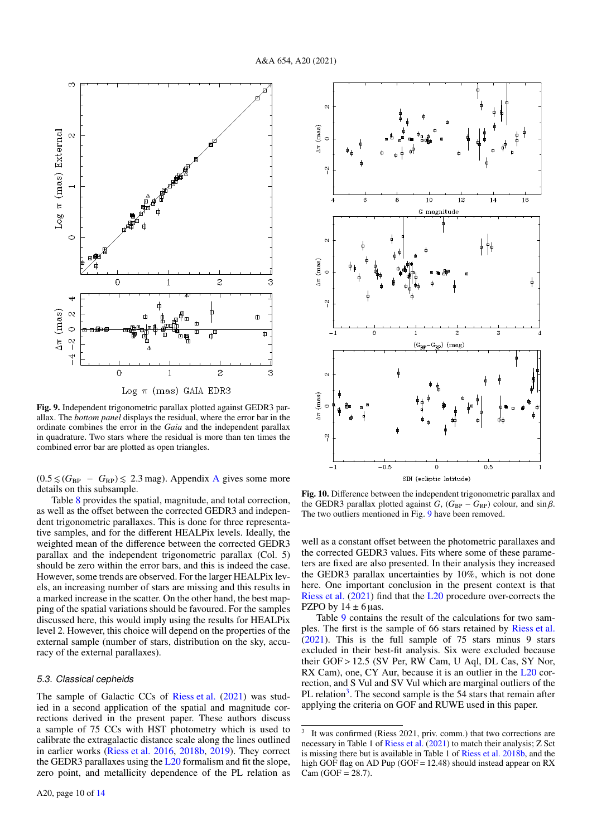

<span id="page-9-0"></span>Fig. 9. Independent trigonometric parallax plotted against GEDR3 parallax. The *bottom panel* displays the residual, where the error bar in the ordinate combines the error in the *Gaia* and the independent parallax in quadrature. Two stars where the residual is more than ten times the combined error bar are plotted as open triangles.

 $(0.5 \leq (G_{BP} - G_{RP}) \leq 2.3$  mag). [A](#page-13-1)ppendix A gives some more details on this subsample.

Table [8](#page-10-1) provides the spatial, magnitude, and total correction, as well as the offset between the corrected GEDR3 and independent trigonometric parallaxes. This is done for three representative samples, and for the different HEALPix levels. Ideally, the weighted mean of the difference between the corrected GEDR3 parallax and the independent trigonometric parallax (Col. 5) should be zero within the error bars, and this is indeed the case. However, some trends are observed. For the larger HEALPix levels, an increasing number of stars are missing and this results in a marked increase in the scatter. On the other hand, the best mapping of the spatial variations should be favoured. For the samples discussed here, this would imply using the results for HEALPix level 2. However, this choice will depend on the properties of the external sample (number of stars, distribution on the sky, accuracy of the external parallaxes).

#### <span id="page-9-3"></span>5.3. Classical cepheids

The sample of Galactic CCs of [Riess et al.](#page-12-20) [\(2021\)](#page-12-20) was studied in a second application of the spatial and magnitude corrections derived in the present paper. These authors discuss a sample of 75 CCs with HST photometry which is used to calibrate the extragalactic distance scale along the lines outlined in earlier works [\(Riess et al.](#page-12-41) [2016,](#page-12-41) [2018b,](#page-12-2) [2019\)](#page-12-42). They correct the GEDR3 parallaxes using the [L20](#page-12-19) formalism and fit the slope, zero point, and metallicity dependence of the PL relation as



<span id="page-9-1"></span>Fig. 10. Difference between the independent trigonometric parallax and the GEDR3 parallax plotted against *G*,  $(G_{BP} - G_{RP})$  colour, and sin  $\beta$ . The two outliers mentioned in Fig. [9](#page-9-0) have been removed.

well as a constant offset between the photometric parallaxes and the corrected GEDR3 values. Fits where some of these parameters are fixed are also presented. In their analysis they increased the GEDR3 parallax uncertainties by 10%, which is not done here. One important conclusion in the present context is that [Riess et al.](#page-12-20) [\(2021\)](#page-12-20) find that the [L20](#page-12-19) procedure over-corrects the PZPO by  $14 \pm 6$  µas.

Table [9](#page-10-2) contains the result of the calculations for two samples. The first is the sample of 66 stars retained by [Riess et al.](#page-12-20) [\(2021\)](#page-12-20). This is the full sample of 75 stars minus 9 stars excluded in their best-fit analysis. Six were excluded because their GOF > 12.5 (SV Per, RW Cam, U Aql, DL Cas, SY Nor, RX Cam), one, CY Aur, because it is an outlier in the [L20](#page-12-19) correction, and S Vul and SV Vul which are marginal outliers of the PL relation<sup>[3](#page-9-2)</sup>. The second sample is the 54 stars that remain after applying the criteria on GOF and RUWE used in this paper.

<span id="page-9-2"></span><sup>3</sup> It was confirmed (Riess 2021, priv. comm.) that two corrections are necessary in Table 1 of [Riess et al.](#page-12-20) [\(2021\)](#page-12-20) to match their analysis; Z Sct is missing there but is available in Table 1 of [Riess et al.](#page-12-2) [2018b,](#page-12-2) and the high GOF flag on AD Pup (GOF = 12.48) should instead appear on RX  $Cam (GOF = 28.7).$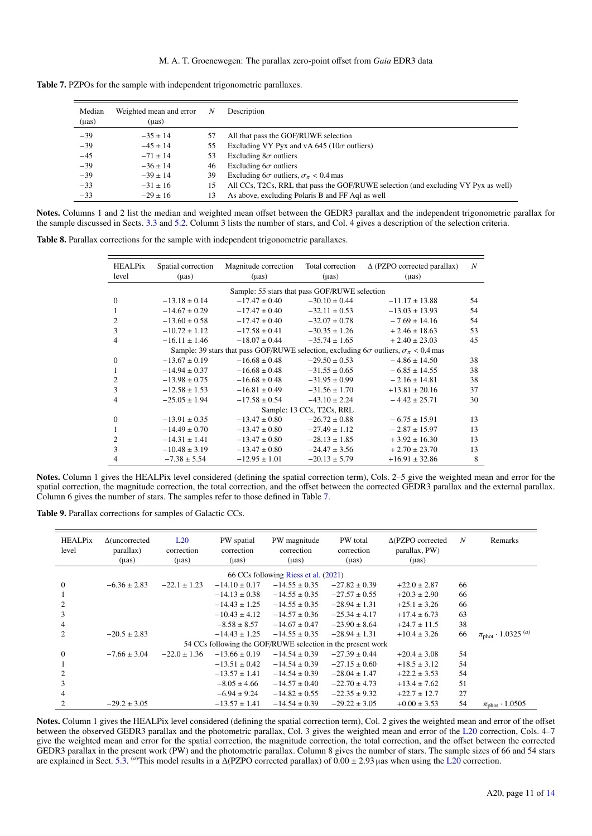| <b>Table 7.</b> PZPOs for the sample with independent trigonometric parallaxes. |  |
|---------------------------------------------------------------------------------|--|
|---------------------------------------------------------------------------------|--|

<span id="page-10-0"></span>

| Median<br>$(\mu as)$ | Weighted mean and error<br>(µas) | N  | Description                                                                        |
|----------------------|----------------------------------|----|------------------------------------------------------------------------------------|
| $-39$                | $-35 + 14$                       | 57 | All that pass the GOF/RUWE selection                                               |
| $-39$                | $-45 \pm 14$                     | 55 | Excluding VY Pyx and vA 645 ( $10\sigma$ outliers)                                 |
| $-45$                | $-71 \pm 14$                     | 53 | Excluding $8\sigma$ outliers                                                       |
| $-39$                | $-36 \pm 14$                     | 46 | Excluding $6\sigma$ outliers                                                       |
| $-39$                | $-39 \pm 14$                     | 39 | Excluding $6\sigma$ outliers, $\sigma_{\pi}$ < 0.4 mas                             |
| $-33$                | $-31 \pm 16$                     | 15 | All CCs, T2Cs, RRL that pass the GOF/RUWE selection (and excluding VY Pyx as well) |
| $-33$                | $-29 \pm 16$                     | 13 | As above, excluding Polaris B and FF Aql as well                                   |

Notes. Columns 1 and 2 list the median and weighted mean offset between the GEDR3 parallax and the independent trigonometric parallax for the sample discussed in Sects. [3.3](#page-3-2) and [5.2.](#page-8-3) Column 3 lists the number of stars, and Col. 4 gives a description of the selection criteria.

<span id="page-10-1"></span>Table 8. Parallax corrections for the sample with independent trigonometric parallaxes.

| <b>HEALPix</b><br>level | Spatial correction<br>$(\mu as)$ | Magnitude correction<br>$(\mu as)$            | Total correction<br>$(\mu as)$ | $\Delta$ (PZPO corrected parallax)<br>$(\mu as)$                                                      | N  |
|-------------------------|----------------------------------|-----------------------------------------------|--------------------------------|-------------------------------------------------------------------------------------------------------|----|
|                         |                                  | Sample: 55 stars that pass GOF/RUWE selection |                                |                                                                                                       |    |
| $\mathbf{0}$            | $-13.18 \pm 0.14$                | $-17.47 \pm 0.40$                             | $-30.10 \pm 0.44$              | $-11.17 \pm 13.88$                                                                                    | 54 |
| 1                       | $-14.67 \pm 0.29$                | $-17.47 \pm 0.40$                             | $-32.11 \pm 0.53$              | $-13.03 \pm 13.93$                                                                                    | 54 |
| $\overline{2}$          | $-13.60 \pm 0.58$                | $-17.47 \pm 0.40$                             | $-32.07 \pm 0.78$              | $-7.69 \pm 14.16$                                                                                     | 54 |
| 3                       | $-10.72 \pm 1.12$                | $-17.58 \pm 0.41$                             | $-30.35 \pm 1.26$              | $+2.46 \pm 18.63$                                                                                     | 53 |
| 4                       | $-16.11 \pm 1.46$                | $-18.07 \pm 0.44$                             | $-35.74 \pm 1.65$              | $+2.40 \pm 23.03$                                                                                     | 45 |
|                         |                                  |                                               |                                | Sample: 39 stars that pass GOF/RUWE selection, excluding $6\sigma$ outliers, $\sigma_{\pi}$ < 0.4 mas |    |
| $\mathbf{0}$            | $-13.67 \pm 0.19$                | $-16.68 \pm 0.48$                             | $-29.50 \pm 0.53$              | $-4.86 \pm 14.50$                                                                                     | 38 |
| 1                       | $-14.94 \pm 0.37$                | $-16.68 \pm 0.48$                             | $-31.55 \pm 0.65$              | $-6.85 \pm 14.55$                                                                                     | 38 |
| $\overline{c}$          | $-13.98 \pm 0.75$                | $-16.68 \pm 0.48$                             | $-31.95 \pm 0.99$              | $-2.16 \pm 14.81$                                                                                     | 38 |
| 3                       | $-12.58 \pm 1.53$                | $-16.81 \pm 0.49$                             | $-31.56 \pm 1.70$              | $+13.81 \pm 20.16$                                                                                    | 37 |
| 4                       | $-25.05 \pm 1.94$                | $-17.58 \pm 0.54$                             | $-43.10 \pm 2.24$              | $-4.42 \pm 25.71$                                                                                     | 30 |
|                         |                                  |                                               | Sample: 13 CCs, T2Cs, RRL      |                                                                                                       |    |
| $\mathbf{0}$            | $-13.91 \pm 0.35$                | $-13.47 \pm 0.80$                             | $-26.72 \pm 0.88$              | $-6.75 \pm 15.91$                                                                                     | 13 |
| $\mathbf{1}$            | $-14.49 \pm 0.70$                | $-13.47 \pm 0.80$                             | $-27.49 \pm 1.12$              | $-2.87 \pm 15.97$                                                                                     | 13 |
| $\overline{c}$          | $-14.31 \pm 1.41$                | $-13.47 \pm 0.80$                             | $-28.13 \pm 1.85$              | $+3.92 \pm 16.30$                                                                                     | 13 |
| 3                       | $-10.48 \pm 3.19$                | $-13.47 \pm 0.80$                             | $-24.47 \pm 3.56$              | $+2.70 \pm 23.70$                                                                                     | 13 |
| 4                       | $-7.38 \pm 5.54$                 | $-12.95 \pm 1.01$                             | $-20.13 \pm 5.79$              | $+16.91 \pm 32.86$                                                                                    | 8  |

Notes. Column 1 gives the HEALPix level considered (defining the spatial correction term), Cols. 2–5 give the weighted mean and error for the spatial correction, the magnitude correction, the total correction, and the offset between the corrected GEDR3 parallax and the external parallax. Column 6 gives the number of stars. The samples refer to those defined in Table [7.](#page-10-0)

Table 9. Parallax corrections for samples of Galactic CCs.

<span id="page-10-2"></span>

| <b>HEALPix</b><br>level | $\Delta$ (uncorrected<br>parallax)<br>$(\mu as)$ | L20<br>correction<br>$(\mu as)$ | PW spatial<br>correction<br>$(\mu as)$ | PW magnitude<br>correction<br>$(\mu as)$                    | PW total<br>correction<br>$(\mu as)$ | $\triangle$ (PZPO corrected<br>parallax, PW)<br>$(\mu as)$ | N  | Remarks                                |
|-------------------------|--------------------------------------------------|---------------------------------|----------------------------------------|-------------------------------------------------------------|--------------------------------------|------------------------------------------------------------|----|----------------------------------------|
|                         |                                                  |                                 |                                        | 66 CCs following Riess et al. (2021)                        |                                      |                                                            |    |                                        |
| $\Omega$                | $-6.36 \pm 2.83$                                 | $-22.1 \pm 1.23$                | $-14.10 \pm 0.17$                      | $-14.55 \pm 0.35$                                           | $-27.82 \pm 0.39$                    | $+22.0 \pm 2.87$                                           | 66 |                                        |
|                         |                                                  |                                 | $-14.13 \pm 0.38$                      | $-14.55 \pm 0.35$                                           | $-27.57 \pm 0.55$                    | $+20.3 \pm 2.90$                                           | 66 |                                        |
| $\overline{c}$          |                                                  |                                 | $-14.43 \pm 1.25$                      | $-14.55 \pm 0.35$                                           | $-28.94 \pm 1.31$                    | $+25.1 \pm 3.26$                                           | 66 |                                        |
| 3                       |                                                  |                                 | $-10.43 \pm 4.12$                      | $-14.57 \pm 0.36$                                           | $-25.34 \pm 4.17$                    | $+17.4 \pm 6.73$                                           | 63 |                                        |
| 4                       |                                                  |                                 | $-8.58 \pm 8.57$                       | $-14.67 \pm 0.47$                                           | $-23.90 \pm 8.64$                    | $+24.7 \pm 11.5$                                           | 38 |                                        |
| $\mathfrak{D}$          | $-20.5 \pm 2.83$                                 |                                 | $-14.43 \pm 1.25$                      | $-14.55 \pm 0.35$                                           | $-28.94 \pm 1.31$                    | $+10.4 \pm 3.26$                                           | 66 | $\pi_{\text{phot}} \cdot 1.0325^{(a)}$ |
|                         |                                                  |                                 |                                        | 54 CCs following the GOF/RUWE selection in the present work |                                      |                                                            |    |                                        |
| $\Omega$                | $-7.66 \pm 3.04$                                 | $-22.0 \pm 1.36$                | $-13.66 \pm 0.19$                      | $-14.54 \pm 0.39$                                           | $-27.39 \pm 0.44$                    | $+20.4 \pm 3.08$                                           | 54 |                                        |
|                         |                                                  |                                 | $-13.51 \pm 0.42$                      | $-14.54 \pm 0.39$                                           | $-27.15 \pm 0.60$                    | $+18.5 \pm 3.12$                                           | 54 |                                        |
| $\overline{c}$          |                                                  |                                 | $-13.57 \pm 1.41$                      | $-14.54 \pm 0.39$                                           | $-28.04 \pm 1.47$                    | $+22.2 \pm 3.53$                                           | 54 |                                        |
| 3                       |                                                  |                                 | $-8.05 \pm 4.66$                       | $-14.57 \pm 0.40$                                           | $-22.70 \pm 4.73$                    | $+13.4 \pm 7.62$                                           | 51 |                                        |
|                         |                                                  |                                 | $-6.94 \pm 9.24$                       | $-14.82 \pm 0.55$                                           | $-22.35 \pm 9.32$                    | $+22.7 \pm 12.7$                                           | 27 |                                        |
|                         | $-29.2 \pm 3.05$                                 |                                 | $-13.57 \pm 1.41$                      | $-14.54 \pm 0.39$                                           | $-29.22 \pm 3.05$                    | $+0.00 \pm 3.53$                                           | 54 | $\pi_{phot} \cdot 1.0505$              |

Notes. Column 1 gives the HEALPix level considered (defining the spatial correction term), Col. 2 gives the weighted mean and error of the offset between the observed GEDR3 parallax and the photometric parallax, Col. 3 gives the weighted mean and error of the [L20](#page-12-19) correction, Cols. 4–7 give the weighted mean and error for the spatial correction, the magnitude correction, the total correction, and the offset between the corrected GEDR3 parallax in the present work (PW) and the photometric parallax. Column 8 gives the number of stars. The sample sizes of 66 and 54 stars are explained in Sect. [5.3.](#page-9-3) <sup>(a)</sup>This model results in a ∆(PZPO corrected parallax) of 0.00 ± 2.93 µas when using the [L20](#page-12-19) correction.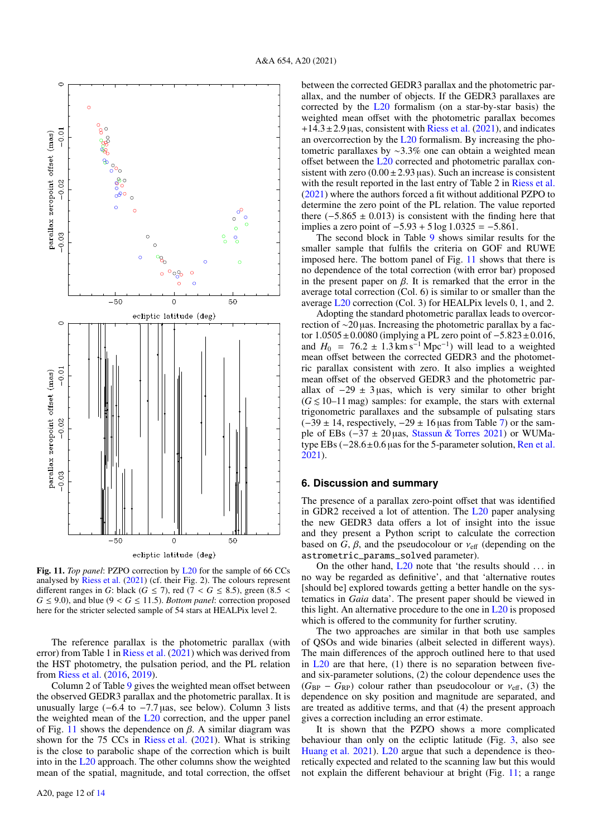

<span id="page-11-0"></span>Fig. 11. *Top panel*: PZPO correction by [L20](#page-12-19) for the sample of 66 CCs analysed by [Riess et al.](#page-12-20) [\(2021\)](#page-12-20) (cf. their Fig. 2). The colours represent different ranges in *G*: black (*G*  $\le$  7), red ( $7 <$  *G*  $\le$  8.5), green (8.5 <  $G \leq 9.0$ , and blue ( $9 < G \leq 11.5$ ). *Bottom panel*: correction proposed here for the stricter selected sample of 54 stars at HEALPix level 2.

The reference parallax is the photometric parallax (with error) from Table 1 in [Riess et al.](#page-12-20) [\(2021\)](#page-12-20) which was derived from the HST photometry, the pulsation period, and the PL relation from [Riess et al.](#page-12-41) [\(2016,](#page-12-41) [2019\)](#page-12-42).

Column 2 of Table [9](#page-10-2) gives the weighted mean offset between the observed GEDR3 parallax and the photometric parallax. It is unusually large  $(-6.4 \text{ to } -7.7 \text{ }\mu\text{as}, \text{ see below})$ . Column 3 lists the weighted mean of the [L20](#page-12-19) correction, and the upper panel of Fig. [11](#page-11-0) shows the dependence on  $\beta$ . A similar diagram was shown for the 75 CCs in [Riess et al.](#page-12-20) [\(2021\)](#page-12-20). What is striking is the close to parabolic shape of the correction which is built into in the [L20](#page-12-19) approach. The other columns show the weighted mean of the spatial, magnitude, and total correction, the offset between the corrected GEDR3 parallax and the photometric parallax, and the number of objects. If the GEDR3 parallaxes are corrected by the [L20](#page-12-19) formalism (on a star-by-star basis) the weighted mean offset with the photometric parallax becomes  $+14.3 \pm 2.9$  µas, consistent with [Riess et al.](#page-12-20) [\(2021\)](#page-12-20), and indicates an overcorrection by the [L20](#page-12-19) formalism. By increasing the photometric parallaxes by ∼3.3% one can obtain a weighted mean offset between the [L20](#page-12-19) corrected and photometric parallax consistent with zero  $(0.00 \pm 2.93 \,\text{uas})$ . Such an increase is consistent with the result reported in the last entry of Table 2 in [Riess et al.](#page-12-20) [\(2021\)](#page-12-20) where the authors forced a fit without additional PZPO to determine the zero point of the PL relation. The value reported there  $(-5.865 \pm 0.013)$  is consistent with the finding here that implies a zero point of <sup>−</sup>5.<sup>93</sup> <sup>+</sup> 5 log 1.<sup>0325</sup> <sup>=</sup> <sup>−</sup>5.861.

The second block in Table [9](#page-10-2) shows similar results for the smaller sample that fulfils the criteria on GOF and RUWE imposed here. The bottom panel of Fig. [11](#page-11-0) shows that there is no dependence of the total correction (with error bar) proposed in the present paper on  $\beta$ . It is remarked that the error in the average total correction (Col. 6) is similar to or smaller than the average [L20](#page-12-19) correction (Col. 3) for HEALPix levels 0, 1, and 2.

Adopting the standard photometric parallax leads to overcorrection of ∼20 µas. Increasing the photometric parallax by a factor 1.0505±0.0080 (implying a PL zero point of <sup>−</sup>5.823±0.016, and  $H_0 = 76.2 \pm 1.3 \text{ km s}^{-1} \text{ Mpc}^{-1}$  will lead to a weighted mean offset between the corrected GEDR3 and the photometmean offset between the corrected GEDR3 and the photometric parallax consistent with zero. It also implies a weighted mean offset of the observed GEDR3 and the photometric parallax of  $-29 \pm 3$  µas, which is very similar to other bright  $(G \le 10-11$  mag) samples: for example, the stars with external trigonometric parallaxes and the subsample of pulsating stars  $(-39 \pm 14$ , respectively,  $-29 \pm 16$  µas from Table [7\)](#page-10-0) or the sample of EBs (−37 ± 20 µas, [Stassun & Torres](#page-12-23) [2021\)](#page-12-23) or WUMatype EBs (−28.6±0.<sup>6</sup> <sup>µ</sup>as for the 5-parameter solution, [Ren et al.](#page-12-43) [2021\)](#page-12-43).

## **6. Discussion and summary**

The presence of a parallax zero-point offset that was identified in GDR2 received a lot of attention. The [L20](#page-12-19) paper analysing the new GEDR3 data offers a lot of insight into the issue and they present a Python script to calculate the correction based on  $G$ ,  $\beta$ , and the pseudocolour or  $v_{\text{eff}}$  (depending on the astrometric\_params\_solved parameter).

On the other hand,  $L20$  note that 'the results should ... in no way be regarded as definitive', and that 'alternative routes [should be] explored towards getting a better handle on the systematics in *Gaia* data'. The present paper should be viewed in this light. An alternative procedure to the one in [L20](#page-12-19) is proposed which is offered to the community for further scrutiny.

The two approaches are similar in that both use samples of QSOs and wide binaries (albeit selected in different ways). The main differences of the approch outlined here to that used in  $L20$  are that here, (1) there is no separation between fiveand six-parameter solutions, (2) the colour dependence uses the  $(G_{BP} - G_{RP})$  colour rather than pseudocolour or  $v_{eff}$ , (3) the dependence on sky position and magnitude are separated, and are treated as additive terms, and that (4) the present approach gives a correction including an error estimate.

It is shown that the PZPO shows a more complicated behaviour than only on the ecliptic latitude (Fig. [3,](#page-5-0) also see [Huang et al.](#page-12-24) [2021\)](#page-12-24). [L20](#page-12-19) argue that such a dependence is theoretically expected and related to the scanning law but this would not explain the different behaviour at bright (Fig. [11;](#page-11-0) a range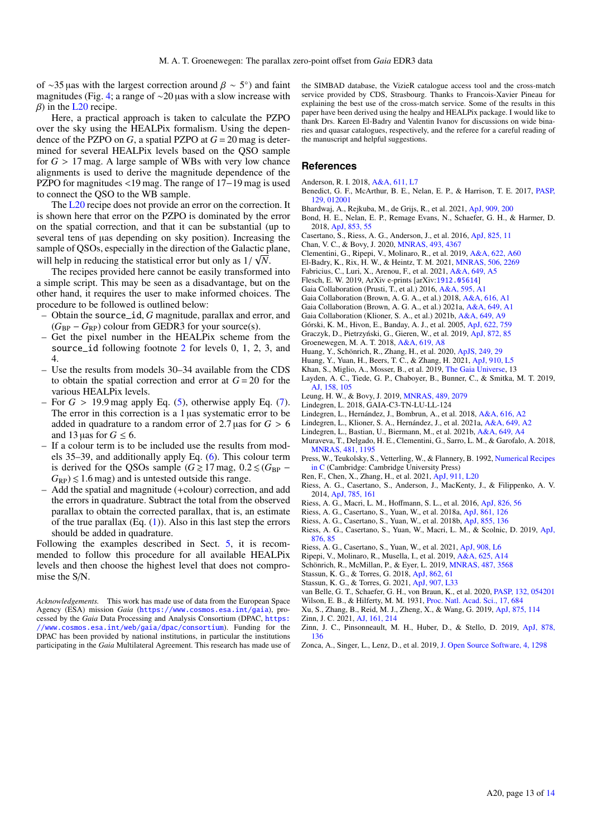of ∼35 µas with the largest correction around  $\beta \sim 5^{\circ}$ ) and faint magnitudes (Fig. 4: a range of ∼20 µas with a slow increase with magnitudes (Fig. [4;](#page-6-0) a range of ∼20 µas with a slow increase with  $\beta$ ) in the [L20](#page-12-19) recipe.

Here, a practical approach is taken to calculate the PZPO over the sky using the HEALPix formalism. Using the dependence of the PZPO on  $G$ , a spatial PZPO at  $G = 20$  mag is determined for several HEALPix levels based on the QSO sample for  $G > 17$  mag. A large sample of WBs with very low chance alignments is used to derive the magnitude dependence of the PZPO for magnitudes <19 mag. The range of 17−19 mag is used to connect the QSO to the WB sample.

The [L20](#page-12-19) recipe does not provide an error on the correction. It is shown here that error on the PZPO is dominated by the error on the spatial correction, and that it can be substantial (up to several tens of  $\mu$ as depending on sky position). Increasing the sample of QSOs, especially in the direction of the Galactic plane,

will help in reducing the statistical error but only as  $1/\sqrt{N}$ .<br>The recipes provided here cannot be easily transformed The recipes provided here cannot be easily transformed into a simple script. This may be seen as a disadvantage, but on the other hand, it requires the user to make informed choices. The procedure to be followed is outlined below:

- Obtain the source\_id, *G* magnitude, parallax and error, and  $(G_{BP} - G_{RP})$  colour from GEDR3 for your source(s).
- Get the pixel number in the HEALPix scheme from the source\_id following footnote [2](#page-2-0) for levels 0, 1, 2, 3, and 4.
- Use the results from models 30–34 available from the CDS to obtain the spatial correction and error at  $G = 20$  for the various HEALPix levels.
- For  $G > 19.9$  mag apply Eq. [\(5\)](#page-4-1), otherwise apply Eq. [\(7\)](#page-6-2). The error in this correction is a 1 µas systematic error to be added in quadrature to a random error of 2.7 µas for  $G > 6$ and 13 µas for  $G \leq 6$ .
- If a colour term is to be included use the results from models 35–39, and additionally apply Eq. [\(6\)](#page-4-2). This colour term is derived for the QSOs sample ( $G \ge 17$  mag,  $0.2 \le (G_{BP} G_{RP}$ )  $\leq$  1.6 mag) and is untested outside this range.
- Add the spatial and magnitude (+colour) correction, and add the errors in quadrature. Subtract the total from the observed parallax to obtain the corrected parallax, that is, an estimate of the true parallax  $(Eq. (1))$  $(Eq. (1))$  $(Eq. (1))$ . Also in this last step the errors should be added in quadrature.

Following the examples described in Sect. [5,](#page-7-0) it is recommended to follow this procedure for all available HEALPix levels and then choose the highest level that does not compromise the S/N.

*Acknowledgements.* This work has made use of data from the European Space Agency (ESA) mission *Gaia* (<https://www.cosmos.esa.int/gaia>), processed by the *Gaia* Data Processing and Analysis Consortium (DPAC, [https:](https://www.cosmos.esa.int/web/gaia/dpac/consortium) [//www.cosmos.esa.int/web/gaia/dpac/consortium](https://www.cosmos.esa.int/web/gaia/dpac/consortium)). Funding for the DPAC has been provided by national institutions, in particular the institutions participating in the *Gaia* Multilateral Agreement. This research has made use of the SIMBAD database, the VizieR catalogue access tool and the cross-match service provided by CDS, Strasbourg. Thanks to Francois-Xavier Pineau for explaining the best use of the cross-match service. Some of the results in this paper have been derived using the healpy and HEALPix package. I would like to thank Drs. Kareen El-Badry and Valentin Ivanov for discussions on wide binaries and quasar catalogues, respectively, and the referee for a careful reading of the manuscript and helpful suggestions.

## **References**

- <span id="page-12-44"></span>Anderson, R. I. 2018, [A&A, 611, L7](http://linker.aanda.org/10.1051/0004-6361/202140862/1)
- <span id="page-12-35"></span>Benedict, G. F., McArthur, B. E., Nelan, E. P., & Harrison, T. E. 2017, [PASP,](http://linker.aanda.org/10.1051/0004-6361/202140862/2) [129, 012001](http://linker.aanda.org/10.1051/0004-6361/202140862/2)
- <span id="page-12-22"></span>Bhardwaj, A., Rejkuba, M., de Grijs, R., et al. 2021, [ApJ, 909, 200](http://linker.aanda.org/10.1051/0004-6361/202140862/3)
- <span id="page-12-37"></span>Bond, H. E., Nelan, E. P., Remage Evans, N., Schaefer, G. H., & Harmer, D. 2018, [ApJ, 853, 55](http://linker.aanda.org/10.1051/0004-6361/202140862/4)
- <span id="page-12-39"></span>Casertano, S., Riess, A. G., Anderson, J., et al. 2016, [ApJ, 825, 11](http://linker.aanda.org/10.1051/0004-6361/202140862/5)
- <span id="page-12-16"></span>Chan, V. C., & Bovy, J. 2020, [MNRAS, 493, 4367](http://linker.aanda.org/10.1051/0004-6361/202140862/6)
- <span id="page-12-6"></span>Clementini, G., Ripepi, V., Molinaro, R., et al. 2019, [A&A, 622, A60](http://linker.aanda.org/10.1051/0004-6361/202140862/7)
- <span id="page-12-34"></span>El-Badry, K., Rix, H. W., & Heintz, T. M. 2021, [MNRAS, 506, 2269](http://linker.aanda.org/10.1051/0004-6361/202140862/8)
- <span id="page-12-33"></span>Fabricius, C., Luri, X., Arenou, F., et al. 2021, [A&A, 649, A5](http://linker.aanda.org/10.1051/0004-6361/202140862/9)
- <span id="page-12-30"></span>Flesch, E. W. 2019, ArXiv e-prints [arXiv:[1912.05614](https://arxiv.org/abs/1912.05614)]
- <span id="page-12-0"></span>Gaia Collaboration (Prusti, T., et al.) 2016, [A&A, 595, A1](http://linker.aanda.org/10.1051/0004-6361/202140862/11)
- <span id="page-12-1"></span>Gaia Collaboration (Brown, A. G. A., et al.) 2018, [A&A, 616, A1](http://linker.aanda.org/10.1051/0004-6361/202140862/12)
- <span id="page-12-17"></span>Gaia Collaboration (Brown, A. G. A., et al.) 2021a, [A&A, 649, A1](http://linker.aanda.org/10.1051/0004-6361/202140862/13)
- <span id="page-12-29"></span>Gaia Collaboration (Klioner, S. A., et al.) 2021b, [A&A, 649, A9](http://linker.aanda.org/10.1051/0004-6361/202140862/14)
- <span id="page-12-26"></span>Górski, K. M., Hivon, E., Banday, A. J., et al. 2005, [ApJ, 622, 759](http://linker.aanda.org/10.1051/0004-6361/202140862/15)
- <span id="page-12-10"></span>Graczyk, D., Pietrzyński, G., Gieren, W., et al. 2019, [ApJ, 872, 85](http://linker.aanda.org/10.1051/0004-6361/202140862/16)
- <span id="page-12-4"></span>Groenewegen, M. A. T. 2018, [A&A, 619, A8](http://linker.aanda.org/10.1051/0004-6361/202140862/17)
- <span id="page-12-25"></span>Huang, Y., Schönrich, R., Zhang, H., et al. 2020, [ApJS, 249, 29](http://linker.aanda.org/10.1051/0004-6361/202140862/18)
- <span id="page-12-24"></span>Huang, Y., Yuan, H., Beers, T. C., & Zhang, H. 2021, [ApJ, 910, L5](http://linker.aanda.org/10.1051/0004-6361/202140862/19)
- <span id="page-12-14"></span>Khan, S., Miglio, A., Mosser, B., et al. 2019, [The Gaia Universe,](http://linker.aanda.org/10.1051/0004-6361/202140862/20) 13
- <span id="page-12-8"></span>Layden, A. C., Tiede, G. P., Chaboyer, B., Bunner, C., & Smitka, M. T. 2019, [AJ, 158, 105](http://linker.aanda.org/10.1051/0004-6361/202140862/21)
- <span id="page-12-15"></span>Leung, H. W., & Bovy, J. 2019, [MNRAS, 489, 2079](http://linker.aanda.org/10.1051/0004-6361/202140862/22)
- <span id="page-12-32"></span>Lindegren, L. 2018, GAIA-C3-TN-LU-LL-124
- <span id="page-12-3"></span>Lindegren, L., Hernández, J., Bombrun, A., et al. 2018, [A&A, 616, A2](http://linker.aanda.org/10.1051/0004-6361/202140862/24)
- <span id="page-12-19"></span>Lindegren, L., Klioner, S. A., Hernández, J., et al. 2021a, [A&A, 649, A2](http://linker.aanda.org/10.1051/0004-6361/202140862/25)
- <span id="page-12-18"></span>Lindegren, L., Bastian, U., Biermann, M., et al. 2021b, [A&A, 649, A4](http://linker.aanda.org/10.1051/0004-6361/202140862/26)
- <span id="page-12-7"></span>Muraveva, T., Delgado, H. E., Clementini, G., Sarro, L. M., & Garofalo, A. 2018, [MNRAS, 481, 1195](http://linker.aanda.org/10.1051/0004-6361/202140862/27)
- <span id="page-12-28"></span>Press, W., Teukolsky, S., Vetterling, W., & Flannery, B. 1992, [Numerical Recipes](http://linker.aanda.org/10.1051/0004-6361/202140862/28) [in C](http://linker.aanda.org/10.1051/0004-6361/202140862/28) (Cambridge: Cambridge University Press)
- <span id="page-12-43"></span>Ren, F., Chen, X., Zhang, H., et al. 2021, [ApJ, 911, L20](http://linker.aanda.org/10.1051/0004-6361/202140862/29)
- <span id="page-12-38"></span>Riess, A. G., Casertano, S., Anderson, J., MacKenty, J., & Filippenko, A. V. 2014, [ApJ, 785, 161](http://linker.aanda.org/10.1051/0004-6361/202140862/30)
- <span id="page-12-41"></span>Riess, A. G., Macri, L. M., Hoffmann, S. L., et al. 2016, [ApJ, 826, 56](http://linker.aanda.org/10.1051/0004-6361/202140862/31)
- <span id="page-12-40"></span>Riess, A. G., Casertano, S., Yuan, W., et al. 2018a, [ApJ, 861, 126](http://linker.aanda.org/10.1051/0004-6361/202140862/32)
- <span id="page-12-2"></span>Riess, A. G., Casertano, S., Yuan, W., et al. 2018b, [ApJ, 855, 136](http://linker.aanda.org/10.1051/0004-6361/202140862/33)
- <span id="page-12-42"></span>Riess, A. G., Casertano, S., Yuan, W., Macri, L. M., & Scolnic, D. 2019, [ApJ,](http://linker.aanda.org/10.1051/0004-6361/202140862/34) [876, 85](http://linker.aanda.org/10.1051/0004-6361/202140862/34)
- <span id="page-12-20"></span>Riess, A. G., Casertano, S., Yuan, W., et al. 2021, [ApJ, 908, L6](http://linker.aanda.org/10.1051/0004-6361/202140862/35)
- <span id="page-12-5"></span>Ripepi, V., Molinaro, R., Musella, I., et al. 2019, [A&A, 625, A14](http://linker.aanda.org/10.1051/0004-6361/202140862/36)
- <span id="page-12-12"></span>Schönrich, R., McMillan, P., & Eyer, L. 2019, [MNRAS, 487, 3568](http://linker.aanda.org/10.1051/0004-6361/202140862/37)
- <span id="page-12-9"></span>Stassun, K. G., & Torres, G. 2018, [ApJ, 862, 61](http://linker.aanda.org/10.1051/0004-6361/202140862/38)
- <span id="page-12-23"></span>Stassun, K. G., & Torres, G. 2021, [ApJ, 907, L33](http://linker.aanda.org/10.1051/0004-6361/202140862/39)
- <span id="page-12-36"></span>van Belle, G. T., Schaefer, G. H., von Braun, K., et al. 2020, [PASP, 132, 054201](http://linker.aanda.org/10.1051/0004-6361/202140862/40)
- <span id="page-12-31"></span>Wilson, E. B., & Hilferty, M. M. 1931, [Proc. Natl. Acad. Sci., 17, 684](http://linker.aanda.org/10.1051/0004-6361/202140862/41)
- <span id="page-12-11"></span>Xu, S., Zhang, B., Reid, M. J., Zheng, X., & Wang, G. 2019, [ApJ, 875, 114](http://linker.aanda.org/10.1051/0004-6361/202140862/42)
- <span id="page-12-21"></span>Zinn, J. C. 2021, [AJ, 161, 214](http://linker.aanda.org/10.1051/0004-6361/202140862/43)
- <span id="page-12-13"></span>Zinn, J. C., Pinsonneault, M. H., Huber, D., & Stello, D. 2019, [ApJ, 878,](http://linker.aanda.org/10.1051/0004-6361/202140862/44) [136](http://linker.aanda.org/10.1051/0004-6361/202140862/44)
- <span id="page-12-27"></span>Zonca, A., Singer, L., Lenz, D., et al. 2019, [J. Open Source Software, 4, 1298](http://linker.aanda.org/10.1051/0004-6361/202140862/45)